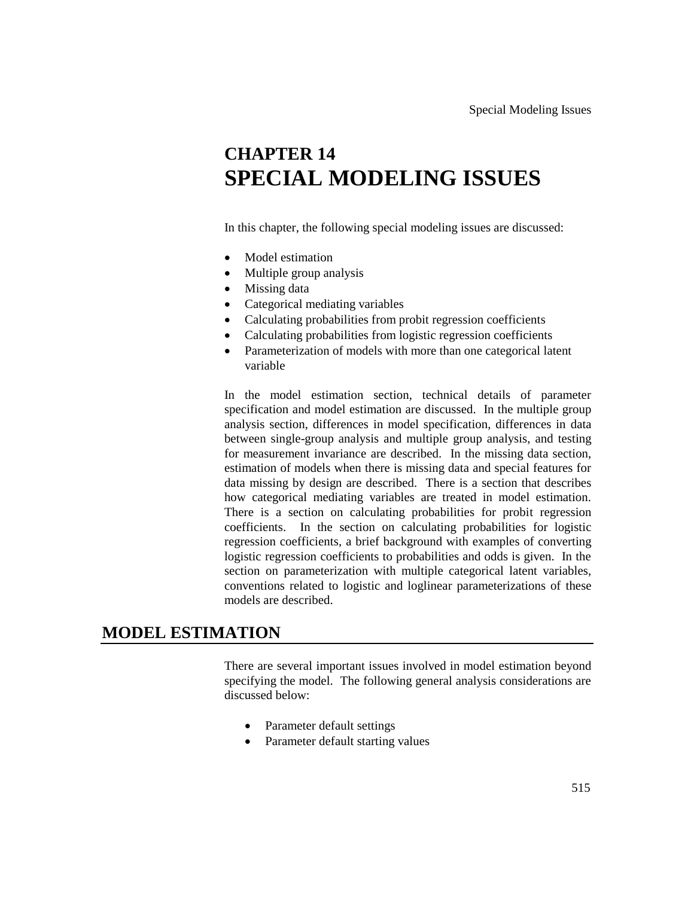# **CHAPTER 14 SPECIAL MODELING ISSUES**

In this chapter, the following special modeling issues are discussed:

- Model estimation
- Multiple group analysis
- Missing data
- Categorical mediating variables
- Calculating probabilities from probit regression coefficients
- Calculating probabilities from logistic regression coefficients
- Parameterization of models with more than one categorical latent variable

In the model estimation section, technical details of parameter specification and model estimation are discussed. In the multiple group analysis section, differences in model specification, differences in data between single-group analysis and multiple group analysis, and testing for measurement invariance are described. In the missing data section, estimation of models when there is missing data and special features for data missing by design are described. There is a section that describes how categorical mediating variables are treated in model estimation. There is a section on calculating probabilities for probit regression coefficients. In the section on calculating probabilities for logistic regression coefficients, a brief background with examples of converting logistic regression coefficients to probabilities and odds is given. In the section on parameterization with multiple categorical latent variables, conventions related to logistic and loglinear parameterizations of these models are described.

### **MODEL ESTIMATION**

There are several important issues involved in model estimation beyond specifying the model. The following general analysis considerations are discussed below:

- Parameter default settings
- Parameter default starting values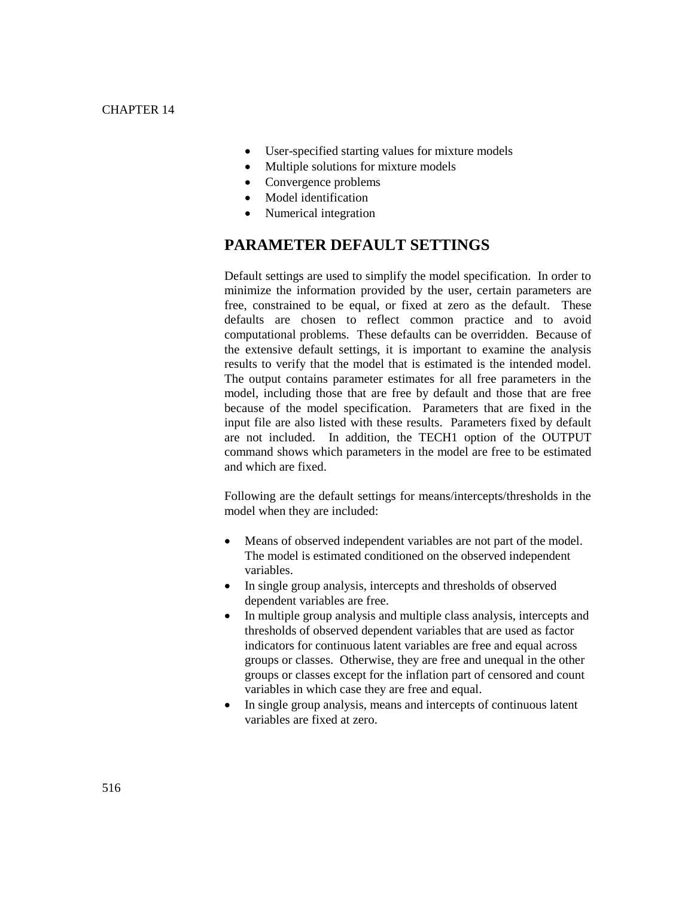- User-specified starting values for mixture models
- Multiple solutions for mixture models
- Convergence problems
- Model identification
- Numerical integration

# **PARAMETER DEFAULT SETTINGS**

Default settings are used to simplify the model specification. In order to minimize the information provided by the user, certain parameters are free, constrained to be equal, or fixed at zero as the default. These defaults are chosen to reflect common practice and to avoid computational problems. These defaults can be overridden. Because of the extensive default settings, it is important to examine the analysis results to verify that the model that is estimated is the intended model. The output contains parameter estimates for all free parameters in the model, including those that are free by default and those that are free because of the model specification. Parameters that are fixed in the input file are also listed with these results. Parameters fixed by default are not included. In addition, the TECH1 option of the OUTPUT command shows which parameters in the model are free to be estimated and which are fixed.

Following are the default settings for means/intercepts/thresholds in the model when they are included:

- Means of observed independent variables are not part of the model. The model is estimated conditioned on the observed independent variables.
- In single group analysis, intercepts and thresholds of observed dependent variables are free.
- In multiple group analysis and multiple class analysis, intercepts and thresholds of observed dependent variables that are used as factor indicators for continuous latent variables are free and equal across groups or classes. Otherwise, they are free and unequal in the other groups or classes except for the inflation part of censored and count variables in which case they are free and equal.
- In single group analysis, means and intercepts of continuous latent variables are fixed at zero.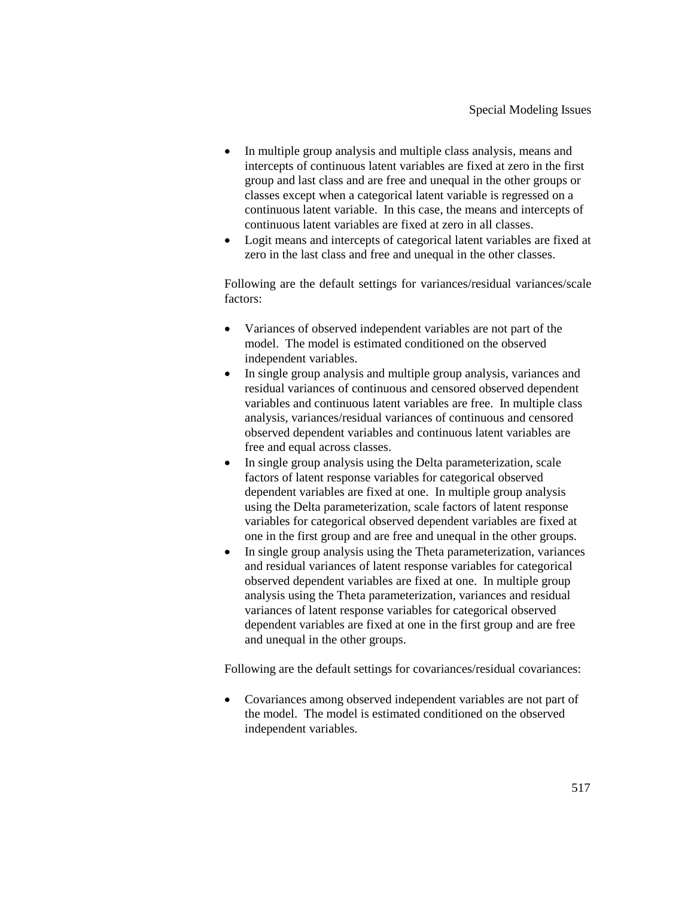- In multiple group analysis and multiple class analysis, means and intercepts of continuous latent variables are fixed at zero in the first group and last class and are free and unequal in the other groups or classes except when a categorical latent variable is regressed on a continuous latent variable. In this case, the means and intercepts of continuous latent variables are fixed at zero in all classes.
- Logit means and intercepts of categorical latent variables are fixed at zero in the last class and free and unequal in the other classes.

Following are the default settings for variances/residual variances/scale factors:

- Variances of observed independent variables are not part of the model. The model is estimated conditioned on the observed independent variables.
- In single group analysis and multiple group analysis, variances and residual variances of continuous and censored observed dependent variables and continuous latent variables are free. In multiple class analysis, variances/residual variances of continuous and censored observed dependent variables and continuous latent variables are free and equal across classes.
- In single group analysis using the Delta parameterization, scale factors of latent response variables for categorical observed dependent variables are fixed at one. In multiple group analysis using the Delta parameterization, scale factors of latent response variables for categorical observed dependent variables are fixed at one in the first group and are free and unequal in the other groups.
- In single group analysis using the Theta parameterization, variances and residual variances of latent response variables for categorical observed dependent variables are fixed at one. In multiple group analysis using the Theta parameterization, variances and residual variances of latent response variables for categorical observed dependent variables are fixed at one in the first group and are free and unequal in the other groups.

Following are the default settings for covariances/residual covariances:

 Covariances among observed independent variables are not part of the model. The model is estimated conditioned on the observed independent variables.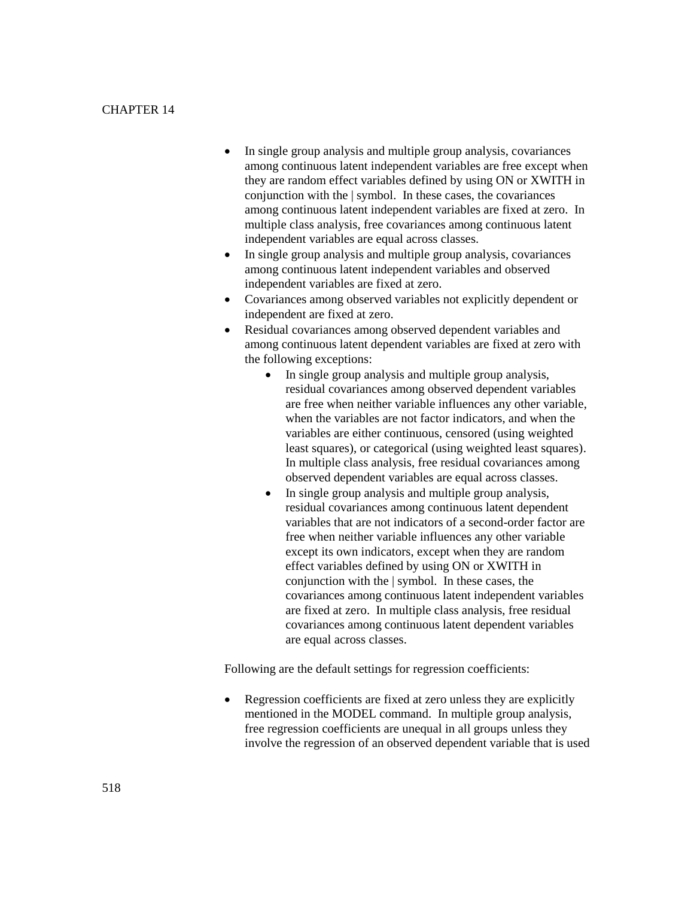- In single group analysis and multiple group analysis, covariances among continuous latent independent variables are free except when they are random effect variables defined by using ON or XWITH in conjunction with the | symbol. In these cases, the covariances among continuous latent independent variables are fixed at zero. In multiple class analysis, free covariances among continuous latent independent variables are equal across classes.
- In single group analysis and multiple group analysis, covariances among continuous latent independent variables and observed independent variables are fixed at zero.
- Covariances among observed variables not explicitly dependent or independent are fixed at zero.
- Residual covariances among observed dependent variables and among continuous latent dependent variables are fixed at zero with the following exceptions:
	- In single group analysis and multiple group analysis, residual covariances among observed dependent variables are free when neither variable influences any other variable, when the variables are not factor indicators, and when the variables are either continuous, censored (using weighted least squares), or categorical (using weighted least squares). In multiple class analysis, free residual covariances among observed dependent variables are equal across classes.
	- In single group analysis and multiple group analysis, residual covariances among continuous latent dependent variables that are not indicators of a second-order factor are free when neither variable influences any other variable except its own indicators, except when they are random effect variables defined by using ON or XWITH in conjunction with the | symbol. In these cases, the covariances among continuous latent independent variables are fixed at zero. In multiple class analysis, free residual covariances among continuous latent dependent variables are equal across classes.

Following are the default settings for regression coefficients:

• Regression coefficients are fixed at zero unless they are explicitly mentioned in the MODEL command. In multiple group analysis, free regression coefficients are unequal in all groups unless they involve the regression of an observed dependent variable that is used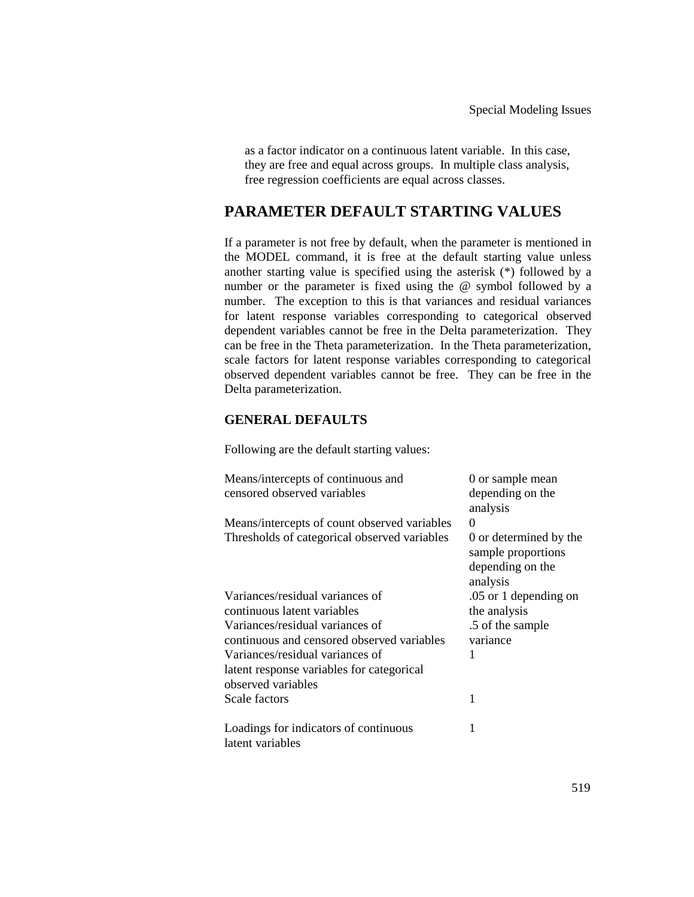as a factor indicator on a continuous latent variable. In this case, they are free and equal across groups. In multiple class analysis, free regression coefficients are equal across classes.

### **PARAMETER DEFAULT STARTING VALUES**

If a parameter is not free by default, when the parameter is mentioned in the MODEL command, it is free at the default starting value unless another starting value is specified using the asterisk (\*) followed by a number or the parameter is fixed using the @ symbol followed by a number. The exception to this is that variances and residual variances for latent response variables corresponding to categorical observed dependent variables cannot be free in the Delta parameterization. They can be free in the Theta parameterization. In the Theta parameterization, scale factors for latent response variables corresponding to categorical observed dependent variables cannot be free. They can be free in the Delta parameterization.

### **GENERAL DEFAULTS**

Following are the default starting values:

| Means/intercepts of continuous and<br>censored observed variables | 0 or sample mean<br>depending on the<br>analysis                             |
|-------------------------------------------------------------------|------------------------------------------------------------------------------|
| Means/intercepts of count observed variables                      | $\Omega$                                                                     |
| Thresholds of categorical observed variables                      | 0 or determined by the<br>sample proportions<br>depending on the<br>analysis |
| Variances/residual variances of                                   | .05 or 1 depending on                                                        |
| continuous latent variables                                       | the analysis                                                                 |
| Variances/residual variances of                                   | .5 of the sample                                                             |
| continuous and censored observed variables                        | variance                                                                     |
| Variances/residual variances of                                   | 1                                                                            |
| latent response variables for categorical                         |                                                                              |
| observed variables                                                |                                                                              |
| Scale factors                                                     | 1                                                                            |
| Loadings for indicators of continuous<br>latent variables         | 1                                                                            |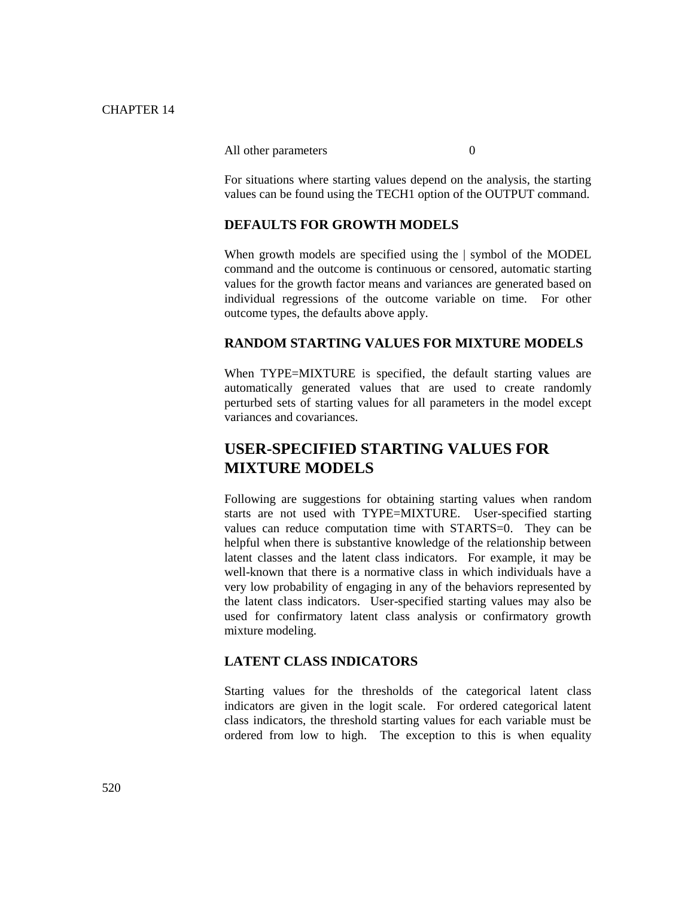#### All other parameters 0

For situations where starting values depend on the analysis, the starting values can be found using the TECH1 option of the OUTPUT command.

#### **DEFAULTS FOR GROWTH MODELS**

When growth models are specified using the | symbol of the MODEL command and the outcome is continuous or censored, automatic starting values for the growth factor means and variances are generated based on individual regressions of the outcome variable on time. For other outcome types, the defaults above apply.

#### **RANDOM STARTING VALUES FOR MIXTURE MODELS**

When TYPE=MIXTURE is specified, the default starting values are automatically generated values that are used to create randomly perturbed sets of starting values for all parameters in the model except variances and covariances.

# **USER-SPECIFIED STARTING VALUES FOR MIXTURE MODELS**

Following are suggestions for obtaining starting values when random starts are not used with TYPE=MIXTURE. User-specified starting values can reduce computation time with STARTS=0. They can be helpful when there is substantive knowledge of the relationship between latent classes and the latent class indicators. For example, it may be well-known that there is a normative class in which individuals have a very low probability of engaging in any of the behaviors represented by the latent class indicators. User-specified starting values may also be used for confirmatory latent class analysis or confirmatory growth mixture modeling.

#### **LATENT CLASS INDICATORS**

Starting values for the thresholds of the categorical latent class indicators are given in the logit scale. For ordered categorical latent class indicators, the threshold starting values for each variable must be ordered from low to high. The exception to this is when equality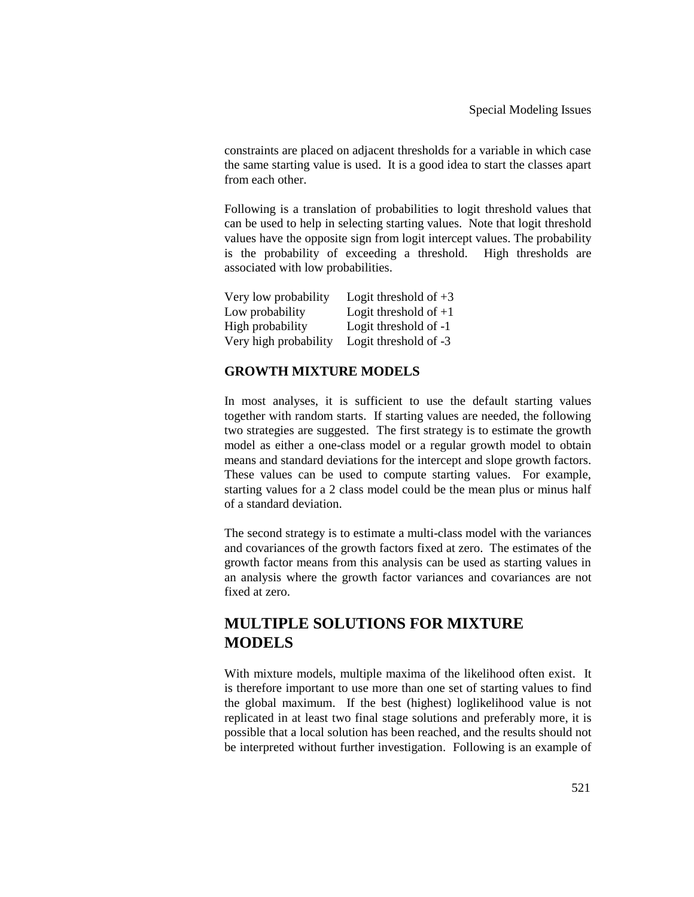constraints are placed on adjacent thresholds for a variable in which case the same starting value is used. It is a good idea to start the classes apart from each other.

Following is a translation of probabilities to logit threshold values that can be used to help in selecting starting values. Note that logit threshold values have the opposite sign from logit intercept values. The probability is the probability of exceeding a threshold. High thresholds are associated with low probabilities.

| Very low probability  | Logit threshold of $+3$ |
|-----------------------|-------------------------|
| Low probability       | Logit threshold of $+1$ |
| High probability      | Logit threshold of -1   |
| Very high probability | Logit threshold of -3   |

### **GROWTH MIXTURE MODELS**

In most analyses, it is sufficient to use the default starting values together with random starts. If starting values are needed, the following two strategies are suggested. The first strategy is to estimate the growth model as either a one-class model or a regular growth model to obtain means and standard deviations for the intercept and slope growth factors. These values can be used to compute starting values. For example, starting values for a 2 class model could be the mean plus or minus half of a standard deviation.

The second strategy is to estimate a multi-class model with the variances and covariances of the growth factors fixed at zero. The estimates of the growth factor means from this analysis can be used as starting values in an analysis where the growth factor variances and covariances are not fixed at zero.

# **MULTIPLE SOLUTIONS FOR MIXTURE MODELS**

With mixture models, multiple maxima of the likelihood often exist. It is therefore important to use more than one set of starting values to find the global maximum. If the best (highest) loglikelihood value is not replicated in at least two final stage solutions and preferably more, it is possible that a local solution has been reached, and the results should not be interpreted without further investigation. Following is an example of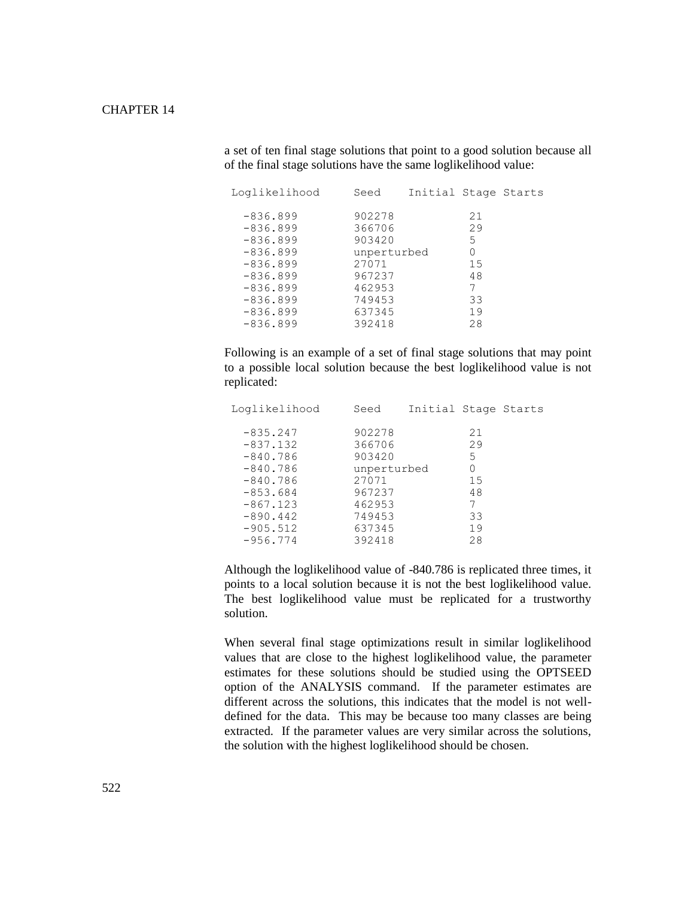#### CHAPTER 14

a set of ten final stage solutions that point to a good solution because all of the final stage solutions have the same loglikelihood value:

| Loglikelihood | Seed        | Initial Stage Starts |    |  |
|---------------|-------------|----------------------|----|--|
| $-836.899$    | 902278      |                      | 21 |  |
| $-836.899$    | 366706      |                      | 29 |  |
| $-836.899$    | 903420      |                      | 5  |  |
| $-836.899$    | unperturbed |                      | 0  |  |
| $-836.899$    | 27071       |                      | 15 |  |
| $-836.899$    | 967237      |                      | 48 |  |
| $-836.899$    | 462953      |                      | 7  |  |
| $-836.899$    | 749453      |                      | 33 |  |
| $-836.899$    | 637345      |                      | 19 |  |
| $-836.899$    | 392418      |                      | 28 |  |

Following is an example of a set of final stage solutions that may point to a possible local solution because the best loglikelihood value is not replicated:

| Loglikelihood | Seed        | Initial Stage Starts |    |  |
|---------------|-------------|----------------------|----|--|
| $-835.247$    | 902278      |                      | 21 |  |
| $-837.132$    | 366706      |                      | 29 |  |
| $-840.786$    | 903420      |                      | 5  |  |
| $-840.786$    | unperturbed |                      | 0  |  |
| $-840.786$    | 27071       |                      | 15 |  |
| $-853.684$    | 967237      |                      | 48 |  |
| $-867.123$    | 462953      |                      | 7  |  |
| $-890.442$    | 749453      |                      | 33 |  |
| $-905.512$    | 637345      |                      | 19 |  |
| $-956.774$    | 392418      |                      | 28 |  |

Although the loglikelihood value of -840.786 is replicated three times, it points to a local solution because it is not the best loglikelihood value. The best loglikelihood value must be replicated for a trustworthy solution.

When several final stage optimizations result in similar loglikelihood values that are close to the highest loglikelihood value, the parameter estimates for these solutions should be studied using the OPTSEED option of the ANALYSIS command. If the parameter estimates are different across the solutions, this indicates that the model is not welldefined for the data. This may be because too many classes are being extracted. If the parameter values are very similar across the solutions, the solution with the highest loglikelihood should be chosen.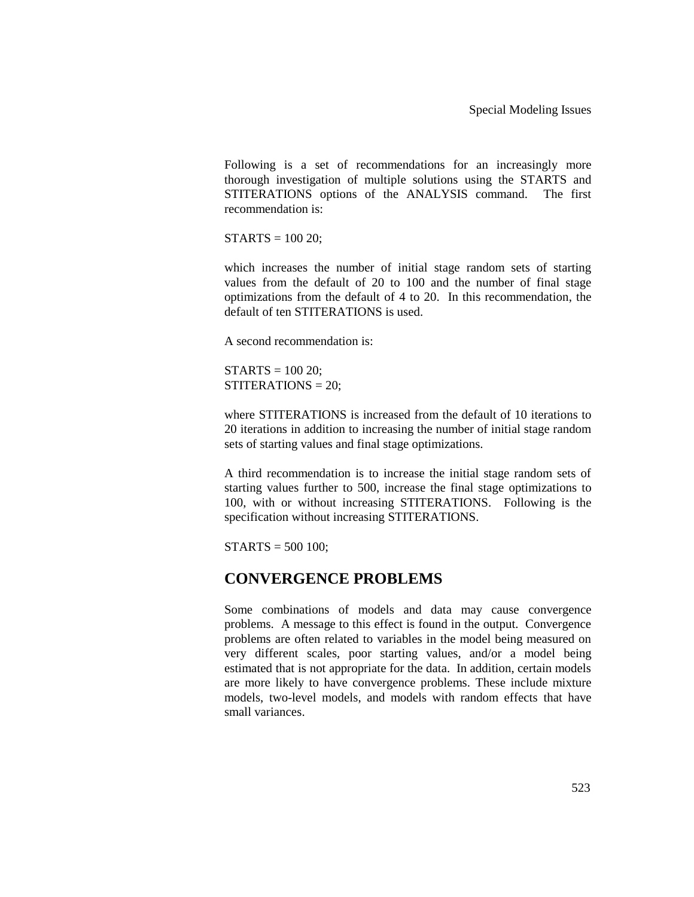Following is a set of recommendations for an increasingly more thorough investigation of multiple solutions using the STARTS and STITERATIONS options of the ANALYSIS command. The first recommendation is:

 $STARTS = 100 20;$ 

which increases the number of initial stage random sets of starting values from the default of 20 to 100 and the number of final stage optimizations from the default of 4 to 20. In this recommendation, the default of ten STITERATIONS is used.

A second recommendation is:

 $STARTS = 100 20$ : STITERATIONS = 20;

where STITERATIONS is increased from the default of 10 iterations to 20 iterations in addition to increasing the number of initial stage random sets of starting values and final stage optimizations.

A third recommendation is to increase the initial stage random sets of starting values further to 500, increase the final stage optimizations to 100, with or without increasing STITERATIONS. Following is the specification without increasing STITERATIONS.

 $STARTS = 500 100;$ 

### **CONVERGENCE PROBLEMS**

Some combinations of models and data may cause convergence problems. A message to this effect is found in the output. Convergence problems are often related to variables in the model being measured on very different scales, poor starting values, and/or a model being estimated that is not appropriate for the data. In addition, certain models are more likely to have convergence problems. These include mixture models, two-level models, and models with random effects that have small variances.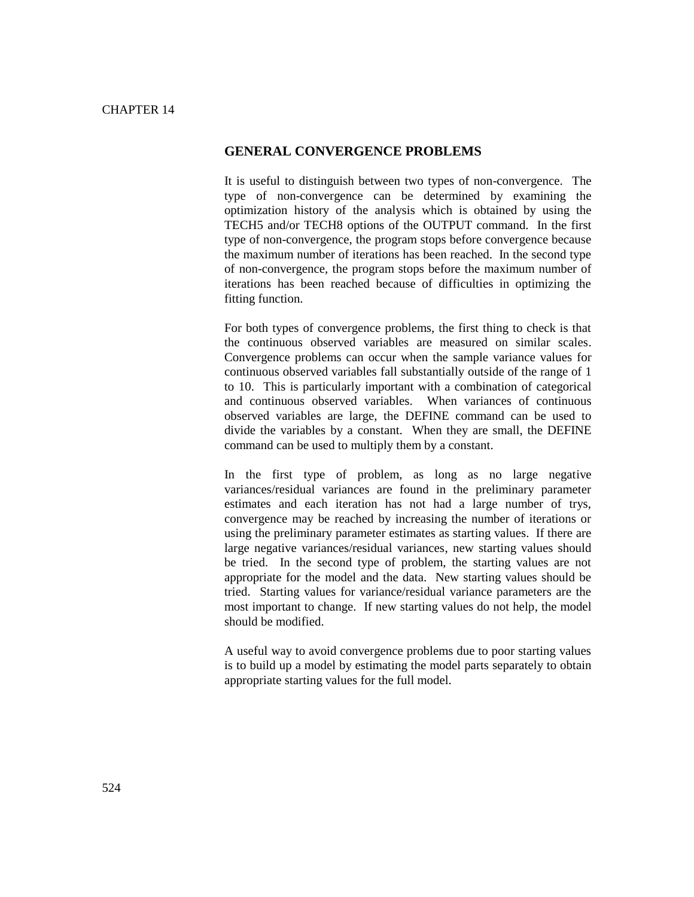#### **GENERAL CONVERGENCE PROBLEMS**

It is useful to distinguish between two types of non-convergence. The type of non-convergence can be determined by examining the optimization history of the analysis which is obtained by using the TECH5 and/or TECH8 options of the OUTPUT command. In the first type of non-convergence, the program stops before convergence because the maximum number of iterations has been reached. In the second type of non-convergence, the program stops before the maximum number of iterations has been reached because of difficulties in optimizing the fitting function.

For both types of convergence problems, the first thing to check is that the continuous observed variables are measured on similar scales. Convergence problems can occur when the sample variance values for continuous observed variables fall substantially outside of the range of 1 to 10. This is particularly important with a combination of categorical and continuous observed variables. When variances of continuous observed variables are large, the DEFINE command can be used to divide the variables by a constant. When they are small, the DEFINE command can be used to multiply them by a constant.

In the first type of problem, as long as no large negative variances/residual variances are found in the preliminary parameter estimates and each iteration has not had a large number of trys, convergence may be reached by increasing the number of iterations or using the preliminary parameter estimates as starting values. If there are large negative variances/residual variances, new starting values should be tried. In the second type of problem, the starting values are not appropriate for the model and the data. New starting values should be tried. Starting values for variance/residual variance parameters are the most important to change. If new starting values do not help, the model should be modified.

A useful way to avoid convergence problems due to poor starting values is to build up a model by estimating the model parts separately to obtain appropriate starting values for the full model.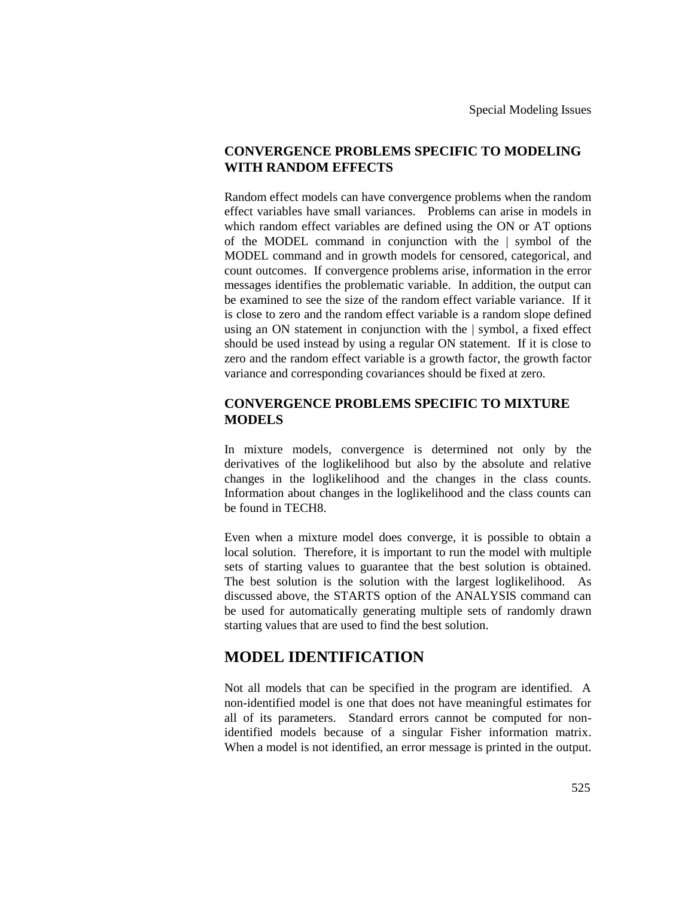### **CONVERGENCE PROBLEMS SPECIFIC TO MODELING WITH RANDOM EFFECTS**

Random effect models can have convergence problems when the random effect variables have small variances. Problems can arise in models in which random effect variables are defined using the ON or AT options of the MODEL command in conjunction with the | symbol of the MODEL command and in growth models for censored, categorical, and count outcomes. If convergence problems arise, information in the error messages identifies the problematic variable. In addition, the output can be examined to see the size of the random effect variable variance. If it is close to zero and the random effect variable is a random slope defined using an ON statement in conjunction with the | symbol, a fixed effect should be used instead by using a regular ON statement. If it is close to zero and the random effect variable is a growth factor, the growth factor variance and corresponding covariances should be fixed at zero.

#### **CONVERGENCE PROBLEMS SPECIFIC TO MIXTURE MODELS**

In mixture models, convergence is determined not only by the derivatives of the loglikelihood but also by the absolute and relative changes in the loglikelihood and the changes in the class counts. Information about changes in the loglikelihood and the class counts can be found in TECH8.

Even when a mixture model does converge, it is possible to obtain a local solution. Therefore, it is important to run the model with multiple sets of starting values to guarantee that the best solution is obtained. The best solution is the solution with the largest loglikelihood. As discussed above, the STARTS option of the ANALYSIS command can be used for automatically generating multiple sets of randomly drawn starting values that are used to find the best solution.

### **MODEL IDENTIFICATION**

Not all models that can be specified in the program are identified. A non-identified model is one that does not have meaningful estimates for all of its parameters. Standard errors cannot be computed for nonidentified models because of a singular Fisher information matrix. When a model is not identified, an error message is printed in the output.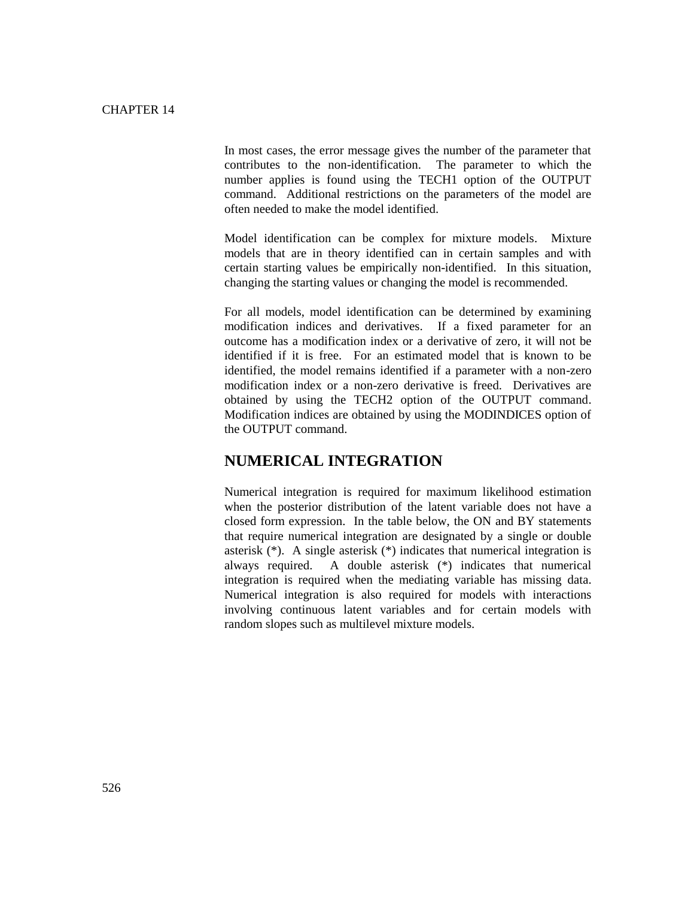In most cases, the error message gives the number of the parameter that contributes to the non-identification. The parameter to which the number applies is found using the TECH1 option of the OUTPUT command. Additional restrictions on the parameters of the model are often needed to make the model identified.

Model identification can be complex for mixture models. Mixture models that are in theory identified can in certain samples and with certain starting values be empirically non-identified. In this situation, changing the starting values or changing the model is recommended.

For all models, model identification can be determined by examining modification indices and derivatives. If a fixed parameter for an outcome has a modification index or a derivative of zero, it will not be identified if it is free. For an estimated model that is known to be identified, the model remains identified if a parameter with a non-zero modification index or a non-zero derivative is freed. Derivatives are obtained by using the TECH2 option of the OUTPUT command. Modification indices are obtained by using the MODINDICES option of the OUTPUT command.

### **NUMERICAL INTEGRATION**

Numerical integration is required for maximum likelihood estimation when the posterior distribution of the latent variable does not have a closed form expression. In the table below, the ON and BY statements that require numerical integration are designated by a single or double asterisk (\*). A single asterisk (\*) indicates that numerical integration is always required. A double asterisk (\*) indicates that numerical integration is required when the mediating variable has missing data. Numerical integration is also required for models with interactions involving continuous latent variables and for certain models with random slopes such as multilevel mixture models.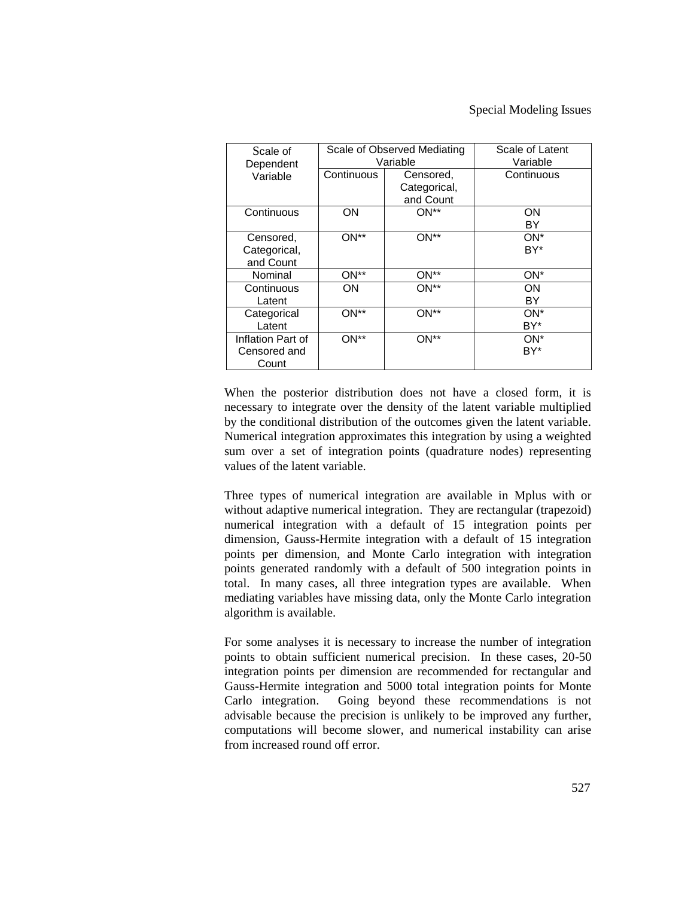| Scale of<br>Dependent                      |            | Scale of Observed Mediating<br>Variable | Scale of Latent<br>Variable |  |  |
|--------------------------------------------|------------|-----------------------------------------|-----------------------------|--|--|
| Variable                                   | Continuous | Censored,<br>Categorical,<br>and Count  | Continuous                  |  |  |
| Continuous                                 | ON         | $ON^{**}$                               | ΟN<br>BY                    |  |  |
| Censored,<br>Categorical,<br>and Count     | ON**       | $ON**$                                  | ON*<br>BY*                  |  |  |
| Nominal                                    | $ON**$     | ON**                                    | ON*                         |  |  |
| Continuous<br>Latent                       | ON         | $ON**$                                  | ΟN<br>BY                    |  |  |
| Categorical<br>Latent                      | $ON**$     | ON**                                    | ON*<br>BY*                  |  |  |
| Inflation Part of<br>Censored and<br>Count | $ON**$     | $ON**$                                  | $ON^*$<br>BY*               |  |  |

When the posterior distribution does not have a closed form, it is necessary to integrate over the density of the latent variable multiplied by the conditional distribution of the outcomes given the latent variable. Numerical integration approximates this integration by using a weighted sum over a set of integration points (quadrature nodes) representing values of the latent variable.

Three types of numerical integration are available in Mplus with or without adaptive numerical integration. They are rectangular (trapezoid) numerical integration with a default of 15 integration points per dimension, Gauss-Hermite integration with a default of 15 integration points per dimension, and Monte Carlo integration with integration points generated randomly with a default of 500 integration points in total. In many cases, all three integration types are available. When mediating variables have missing data, only the Monte Carlo integration algorithm is available.

For some analyses it is necessary to increase the number of integration points to obtain sufficient numerical precision. In these cases, 20-50 integration points per dimension are recommended for rectangular and Gauss-Hermite integration and 5000 total integration points for Monte Carlo integration. Going beyond these recommendations is not advisable because the precision is unlikely to be improved any further, computations will become slower, and numerical instability can arise from increased round off error.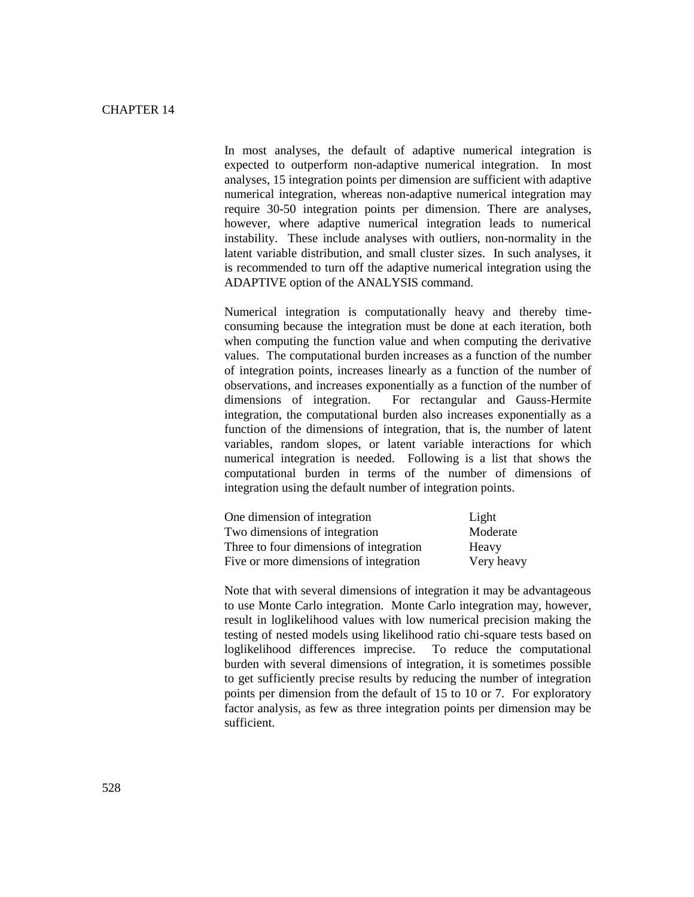In most analyses, the default of adaptive numerical integration is expected to outperform non-adaptive numerical integration. In most analyses, 15 integration points per dimension are sufficient with adaptive numerical integration, whereas non-adaptive numerical integration may require 30-50 integration points per dimension. There are analyses, however, where adaptive numerical integration leads to numerical instability. These include analyses with outliers, non-normality in the latent variable distribution, and small cluster sizes. In such analyses, it is recommended to turn off the adaptive numerical integration using the ADAPTIVE option of the ANALYSIS command.

Numerical integration is computationally heavy and thereby timeconsuming because the integration must be done at each iteration, both when computing the function value and when computing the derivative values. The computational burden increases as a function of the number of integration points, increases linearly as a function of the number of observations, and increases exponentially as a function of the number of dimensions of integration. For rectangular and Gauss-Hermite integration, the computational burden also increases exponentially as a function of the dimensions of integration, that is, the number of latent variables, random slopes, or latent variable interactions for which numerical integration is needed. Following is a list that shows the computational burden in terms of the number of dimensions of integration using the default number of integration points.

| One dimension of integration            | Light      |
|-----------------------------------------|------------|
| Two dimensions of integration           | Moderate   |
| Three to four dimensions of integration | Heavy      |
| Five or more dimensions of integration  | Very heavy |

Note that with several dimensions of integration it may be advantageous to use Monte Carlo integration. Monte Carlo integration may, however, result in loglikelihood values with low numerical precision making the testing of nested models using likelihood ratio chi-square tests based on loglikelihood differences imprecise. To reduce the computational burden with several dimensions of integration, it is sometimes possible to get sufficiently precise results by reducing the number of integration points per dimension from the default of 15 to 10 or 7. For exploratory factor analysis, as few as three integration points per dimension may be sufficient.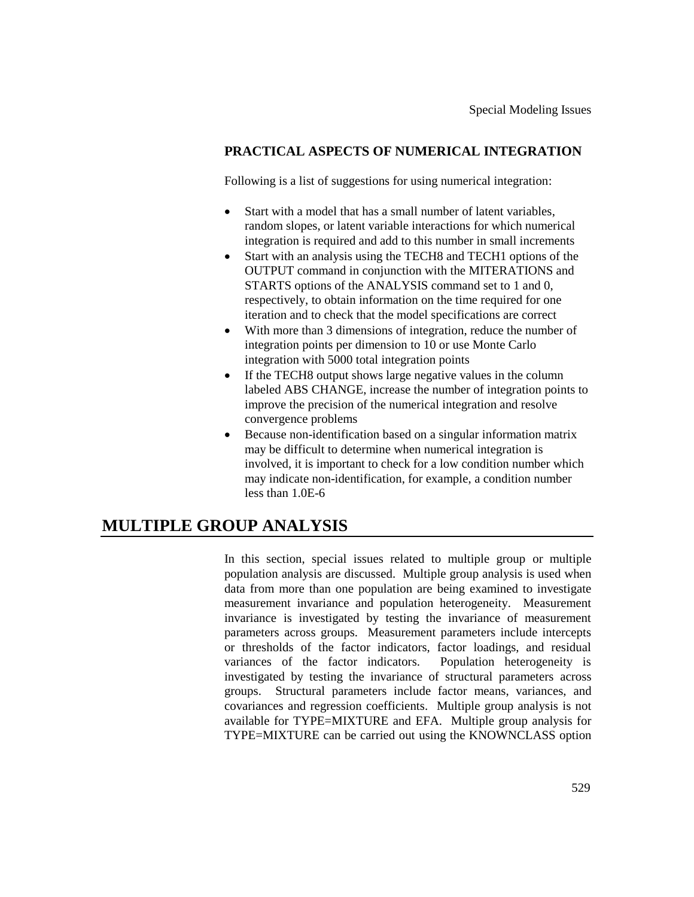### **PRACTICAL ASPECTS OF NUMERICAL INTEGRATION**

Following is a list of suggestions for using numerical integration:

- Start with a model that has a small number of latent variables, random slopes, or latent variable interactions for which numerical integration is required and add to this number in small increments
- Start with an analysis using the TECH8 and TECH1 options of the OUTPUT command in conjunction with the MITERATIONS and STARTS options of the ANALYSIS command set to 1 and 0, respectively, to obtain information on the time required for one iteration and to check that the model specifications are correct
- With more than 3 dimensions of integration, reduce the number of integration points per dimension to 10 or use Monte Carlo integration with 5000 total integration points
- If the TECH8 output shows large negative values in the column labeled ABS CHANGE, increase the number of integration points to improve the precision of the numerical integration and resolve convergence problems
- Because non-identification based on a singular information matrix may be difficult to determine when numerical integration is involved, it is important to check for a low condition number which may indicate non-identification, for example, a condition number less than 1.0E-6

# **MULTIPLE GROUP ANALYSIS**

In this section, special issues related to multiple group or multiple population analysis are discussed. Multiple group analysis is used when data from more than one population are being examined to investigate measurement invariance and population heterogeneity. Measurement invariance is investigated by testing the invariance of measurement parameters across groups. Measurement parameters include intercepts or thresholds of the factor indicators, factor loadings, and residual variances of the factor indicators. Population heterogeneity is investigated by testing the invariance of structural parameters across groups. Structural parameters include factor means, variances, and covariances and regression coefficients. Multiple group analysis is not available for TYPE=MIXTURE and EFA. Multiple group analysis for TYPE=MIXTURE can be carried out using the KNOWNCLASS option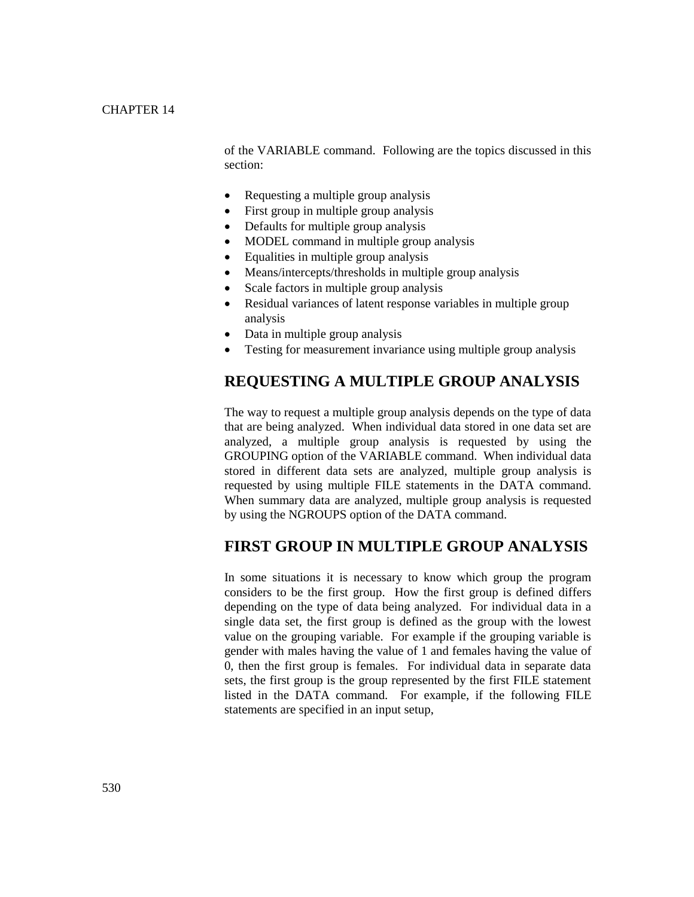of the VARIABLE command. Following are the topics discussed in this section:

- Requesting a multiple group analysis
- First group in multiple group analysis
- Defaults for multiple group analysis
- MODEL command in multiple group analysis
- Equalities in multiple group analysis
- Means/intercepts/thresholds in multiple group analysis
- Scale factors in multiple group analysis
- Residual variances of latent response variables in multiple group analysis
- Data in multiple group analysis
- Testing for measurement invariance using multiple group analysis

# **REQUESTING A MULTIPLE GROUP ANALYSIS**

The way to request a multiple group analysis depends on the type of data that are being analyzed. When individual data stored in one data set are analyzed, a multiple group analysis is requested by using the GROUPING option of the VARIABLE command. When individual data stored in different data sets are analyzed, multiple group analysis is requested by using multiple FILE statements in the DATA command. When summary data are analyzed, multiple group analysis is requested by using the NGROUPS option of the DATA command.

# **FIRST GROUP IN MULTIPLE GROUP ANALYSIS**

In some situations it is necessary to know which group the program considers to be the first group. How the first group is defined differs depending on the type of data being analyzed. For individual data in a single data set, the first group is defined as the group with the lowest value on the grouping variable. For example if the grouping variable is gender with males having the value of 1 and females having the value of 0, then the first group is females. For individual data in separate data sets, the first group is the group represented by the first FILE statement listed in the DATA command. For example, if the following FILE statements are specified in an input setup,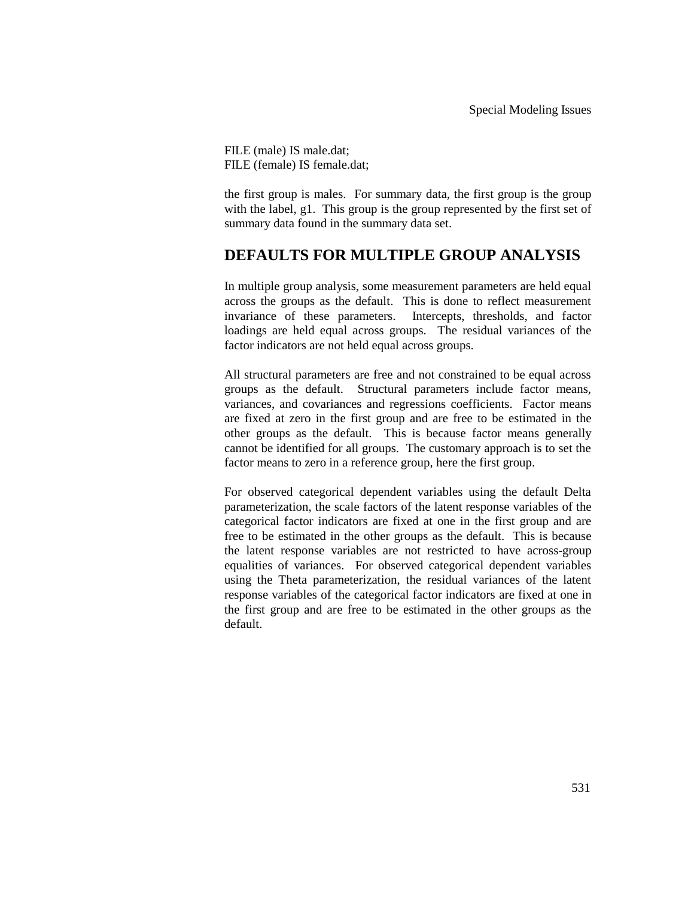FILE (male) IS male.dat; FILE (female) IS female.dat;

the first group is males. For summary data, the first group is the group with the label, g1. This group is the group represented by the first set of summary data found in the summary data set.

# **DEFAULTS FOR MULTIPLE GROUP ANALYSIS**

In multiple group analysis, some measurement parameters are held equal across the groups as the default. This is done to reflect measurement invariance of these parameters. Intercepts, thresholds, and factor loadings are held equal across groups. The residual variances of the factor indicators are not held equal across groups.

All structural parameters are free and not constrained to be equal across groups as the default. Structural parameters include factor means, variances, and covariances and regressions coefficients. Factor means are fixed at zero in the first group and are free to be estimated in the other groups as the default. This is because factor means generally cannot be identified for all groups. The customary approach is to set the factor means to zero in a reference group, here the first group.

For observed categorical dependent variables using the default Delta parameterization, the scale factors of the latent response variables of the categorical factor indicators are fixed at one in the first group and are free to be estimated in the other groups as the default. This is because the latent response variables are not restricted to have across-group equalities of variances. For observed categorical dependent variables using the Theta parameterization, the residual variances of the latent response variables of the categorical factor indicators are fixed at one in the first group and are free to be estimated in the other groups as the default.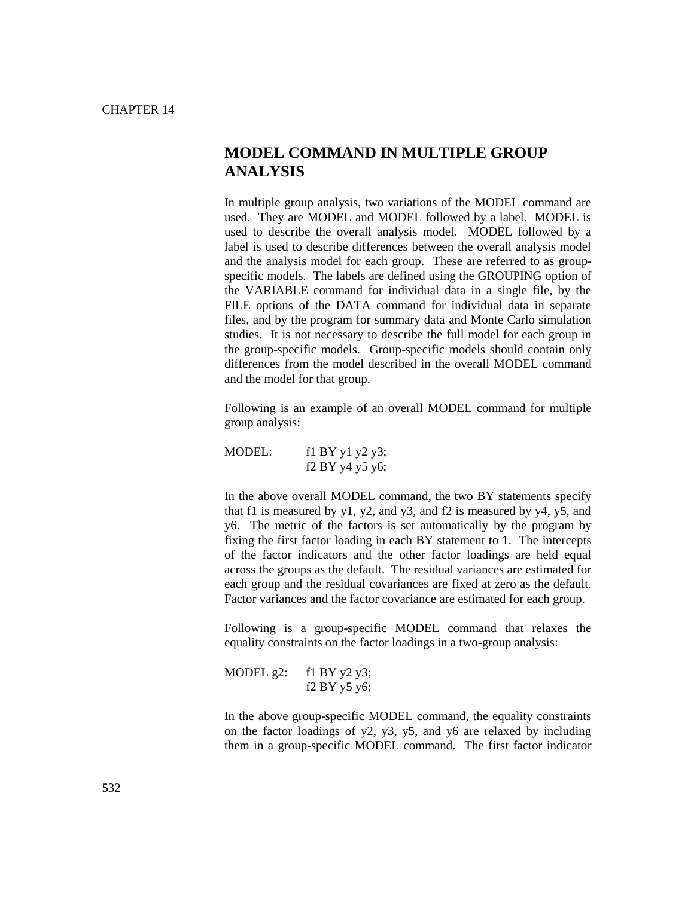# **MODEL COMMAND IN MULTIPLE GROUP ANALYSIS**

In multiple group analysis, two variations of the MODEL command are used. They are MODEL and MODEL followed by a label. MODEL is used to describe the overall analysis model. MODEL followed by a label is used to describe differences between the overall analysis model and the analysis model for each group. These are referred to as groupspecific models. The labels are defined using the GROUPING option of the VARIABLE command for individual data in a single file, by the FILE options of the DATA command for individual data in separate files, and by the program for summary data and Monte Carlo simulation studies. It is not necessary to describe the full model for each group in the group-specific models. Group-specific models should contain only differences from the model described in the overall MODEL command and the model for that group.

Following is an example of an overall MODEL command for multiple group analysis:

MODEL: f1 BY y1 y2 y3; f2 BY y4 y5 y6;

In the above overall MODEL command, the two BY statements specify that f1 is measured by  $y1$ ,  $y2$ , and  $y3$ , and f2 is measured by  $y4$ ,  $y5$ , and y6. The metric of the factors is set automatically by the program by fixing the first factor loading in each BY statement to 1. The intercepts of the factor indicators and the other factor loadings are held equal across the groups as the default. The residual variances are estimated for each group and the residual covariances are fixed at zero as the default. Factor variances and the factor covariance are estimated for each group.

Following is a group-specific MODEL command that relaxes the equality constraints on the factor loadings in a two-group analysis:

```
MODEL g2: f1 BY y2 y3;
 f2 BY y5 y6;
```
In the above group-specific MODEL command, the equality constraints on the factor loadings of y2, y3, y5, and y6 are relaxed by including them in a group-specific MODEL command. The first factor indicator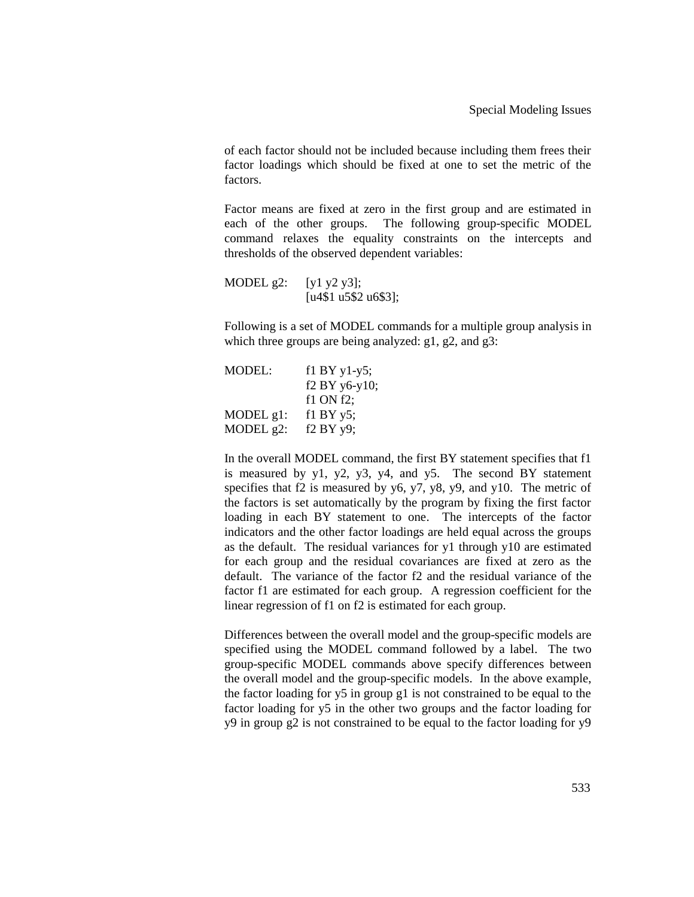of each factor should not be included because including them frees their factor loadings which should be fixed at one to set the metric of the factors.

Factor means are fixed at zero in the first group and are estimated in each of the other groups. The following group-specific MODEL command relaxes the equality constraints on the intercepts and thresholds of the observed dependent variables:

MODEL g2:  $[y1 y2 y3]$ ; [u4\$1 u5\$2 u6\$3];

Following is a set of MODEL commands for a multiple group analysis in which three groups are being analyzed: g1, g2, and g3:

| MODEL:       | f1 BY $y1-y5$ ; |
|--------------|-----------------|
|              | $f2 BY$ y6-y10; |
|              | $f1$ ON $f2$ ;  |
| $MODEL$ g1:  | $f1$ BY $y5$ ;  |
| MODEL $g2$ : | f2 BY y9;       |

In the overall MODEL command, the first BY statement specifies that f1 is measured by y1, y2, y3, y4, and y5. The second BY statement specifies that f2 is measured by  $y6$ ,  $y7$ ,  $y8$ ,  $y9$ , and  $y10$ . The metric of the factors is set automatically by the program by fixing the first factor loading in each BY statement to one. The intercepts of the factor indicators and the other factor loadings are held equal across the groups as the default. The residual variances for y1 through y10 are estimated for each group and the residual covariances are fixed at zero as the default. The variance of the factor f2 and the residual variance of the factor f1 are estimated for each group. A regression coefficient for the linear regression of f1 on f2 is estimated for each group.

Differences between the overall model and the group-specific models are specified using the MODEL command followed by a label. The two group-specific MODEL commands above specify differences between the overall model and the group-specific models. In the above example, the factor loading for y5 in group g1 is not constrained to be equal to the factor loading for y5 in the other two groups and the factor loading for y9 in group g2 is not constrained to be equal to the factor loading for y9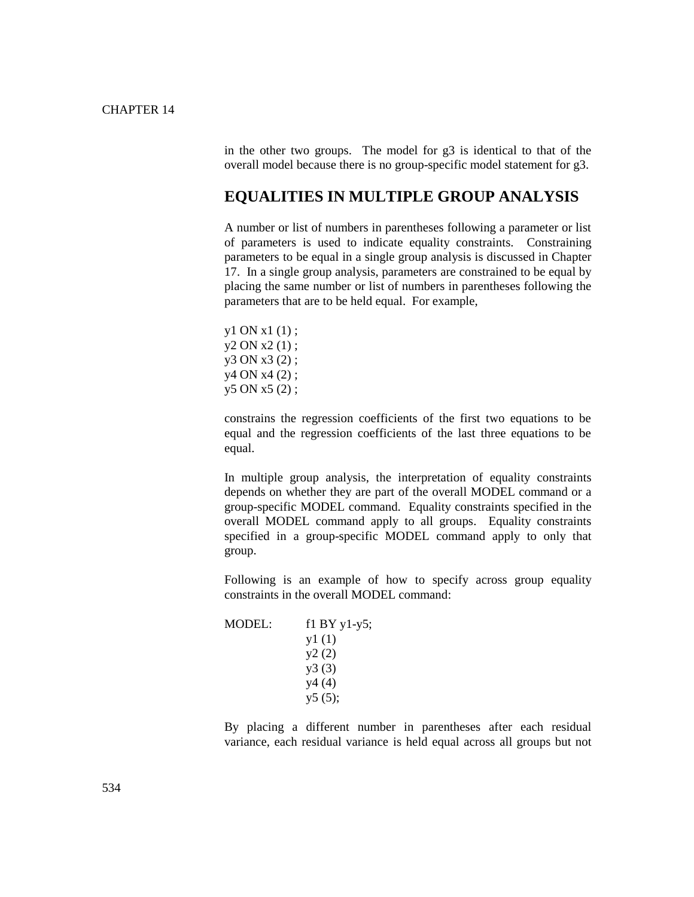in the other two groups. The model for g3 is identical to that of the overall model because there is no group-specific model statement for g3.

### **EQUALITIES IN MULTIPLE GROUP ANALYSIS**

A number or list of numbers in parentheses following a parameter or list of parameters is used to indicate equality constraints. Constraining parameters to be equal in a single group analysis is discussed in Chapter 17. In a single group analysis, parameters are constrained to be equal by placing the same number or list of numbers in parentheses following the parameters that are to be held equal. For example,

y1 ON x1 (1) ; y2 ON x2 (1) ; y3 ON x3 (2) ; y4 ON x4 (2) ; y5 ON x5 (2) ;

constrains the regression coefficients of the first two equations to be equal and the regression coefficients of the last three equations to be equal.

In multiple group analysis, the interpretation of equality constraints depends on whether they are part of the overall MODEL command or a group-specific MODEL command. Equality constraints specified in the overall MODEL command apply to all groups. Equality constraints specified in a group-specific MODEL command apply to only that group.

Following is an example of how to specify across group equality constraints in the overall MODEL command:

| $f1 BY y1-y5;$ |
|----------------|
| y1(1)          |
| y2(2)          |
| y3(3)          |
| y4(4)          |
| y5(5);         |
|                |

By placing a different number in parentheses after each residual variance, each residual variance is held equal across all groups but not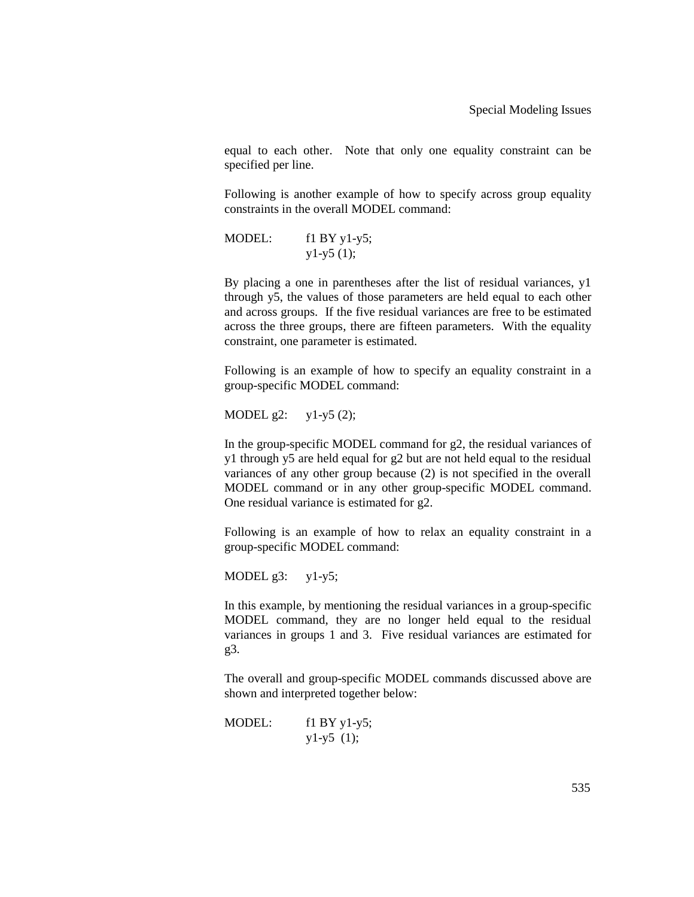equal to each other. Note that only one equality constraint can be specified per line.

Following is another example of how to specify across group equality constraints in the overall MODEL command:

MODEL: f1 BY y1-y5;  $y1-y5$  (1);

By placing a one in parentheses after the list of residual variances, y1 through y5, the values of those parameters are held equal to each other and across groups. If the five residual variances are free to be estimated across the three groups, there are fifteen parameters. With the equality constraint, one parameter is estimated.

Following is an example of how to specify an equality constraint in a group-specific MODEL command:

MODEL  $g2:$   $y1-y5(2);$ 

In the group-specific MODEL command for g2, the residual variances of y1 through y5 are held equal for g2 but are not held equal to the residual variances of any other group because (2) is not specified in the overall MODEL command or in any other group-specific MODEL command. One residual variance is estimated for g2.

Following is an example of how to relax an equality constraint in a group-specific MODEL command:

MODEL  $g3:$   $y1-y5$ ;

In this example, by mentioning the residual variances in a group-specific MODEL command, they are no longer held equal to the residual variances in groups 1 and 3. Five residual variances are estimated for g3.

The overall and group-specific MODEL commands discussed above are shown and interpreted together below:

MODEL: f1 BY y1-y5;  $y1-y5$  (1);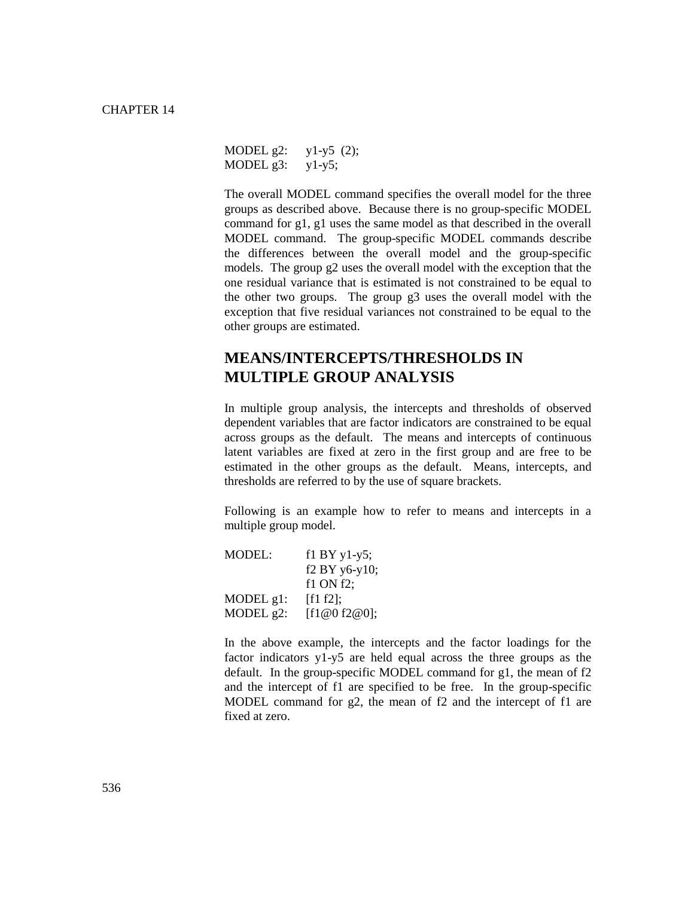MODEL g2: y1-y5 (2); MODEL  $g3:$   $y1-y5$ ;

The overall MODEL command specifies the overall model for the three groups as described above. Because there is no group-specific MODEL command for g1, g1 uses the same model as that described in the overall MODEL command. The group-specific MODEL commands describe the differences between the overall model and the group-specific models. The group g2 uses the overall model with the exception that the one residual variance that is estimated is not constrained to be equal to the other two groups. The group g3 uses the overall model with the exception that five residual variances not constrained to be equal to the other groups are estimated.

# **MEANS/INTERCEPTS/THRESHOLDS IN MULTIPLE GROUP ANALYSIS**

In multiple group analysis, the intercepts and thresholds of observed dependent variables that are factor indicators are constrained to be equal across groups as the default. The means and intercepts of continuous latent variables are fixed at zero in the first group and are free to be estimated in the other groups as the default. Means, intercepts, and thresholds are referred to by the use of square brackets.

Following is an example how to refer to means and intercepts in a multiple group model.

| MODEL:       | $f1 BY y1-y5$ ; |
|--------------|-----------------|
|              | $f2 BY$ y6-y10; |
|              | $f1$ ON $f2$ ;  |
| MODEL $g1$ : | [f1 f2];        |
| MODEL $g2$ : | [f1@0 f2@0];    |

In the above example, the intercepts and the factor loadings for the factor indicators y1-y5 are held equal across the three groups as the default. In the group-specific MODEL command for g1, the mean of f2 and the intercept of f1 are specified to be free. In the group-specific MODEL command for g2, the mean of f2 and the intercept of f1 are fixed at zero.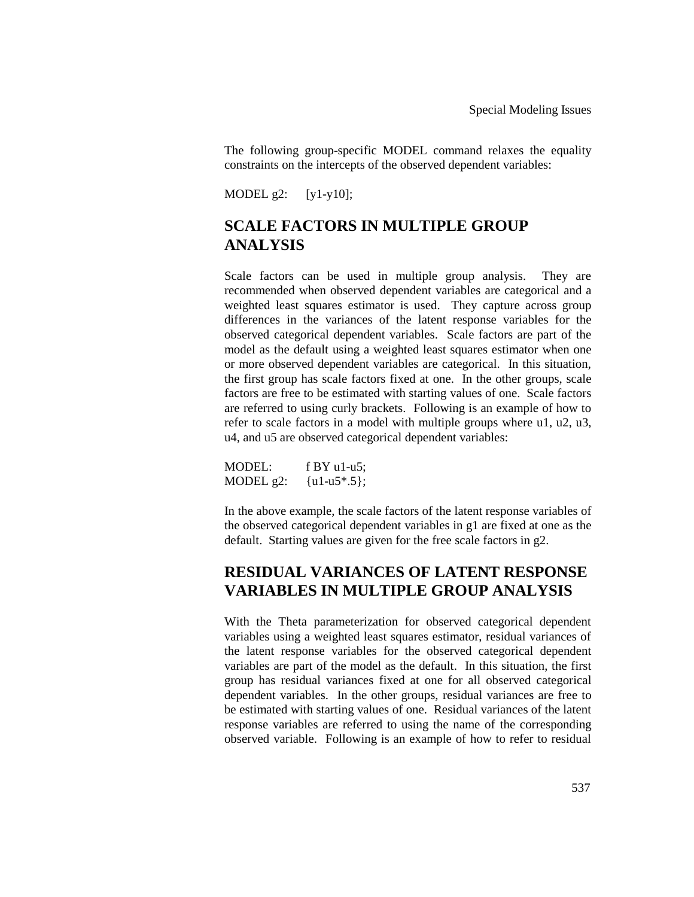The following group-specific MODEL command relaxes the equality constraints on the intercepts of the observed dependent variables:

MODEL g2: [y1-y10];

# **SCALE FACTORS IN MULTIPLE GROUP ANALYSIS**

Scale factors can be used in multiple group analysis. They are recommended when observed dependent variables are categorical and a weighted least squares estimator is used. They capture across group differences in the variances of the latent response variables for the observed categorical dependent variables. Scale factors are part of the model as the default using a weighted least squares estimator when one or more observed dependent variables are categorical. In this situation, the first group has scale factors fixed at one. In the other groups, scale factors are free to be estimated with starting values of one. Scale factors are referred to using curly brackets. Following is an example of how to refer to scale factors in a model with multiple groups where u1, u2, u3, u4, and u5 are observed categorical dependent variables:

| MODEL:       | f BY u1-u5;   |
|--------------|---------------|
| MODEL $g2$ : | ${u1-u5*.5};$ |

In the above example, the scale factors of the latent response variables of the observed categorical dependent variables in g1 are fixed at one as the default. Starting values are given for the free scale factors in g2.

# **RESIDUAL VARIANCES OF LATENT RESPONSE VARIABLES IN MULTIPLE GROUP ANALYSIS**

With the Theta parameterization for observed categorical dependent variables using a weighted least squares estimator, residual variances of the latent response variables for the observed categorical dependent variables are part of the model as the default. In this situation, the first group has residual variances fixed at one for all observed categorical dependent variables. In the other groups, residual variances are free to be estimated with starting values of one. Residual variances of the latent response variables are referred to using the name of the corresponding observed variable. Following is an example of how to refer to residual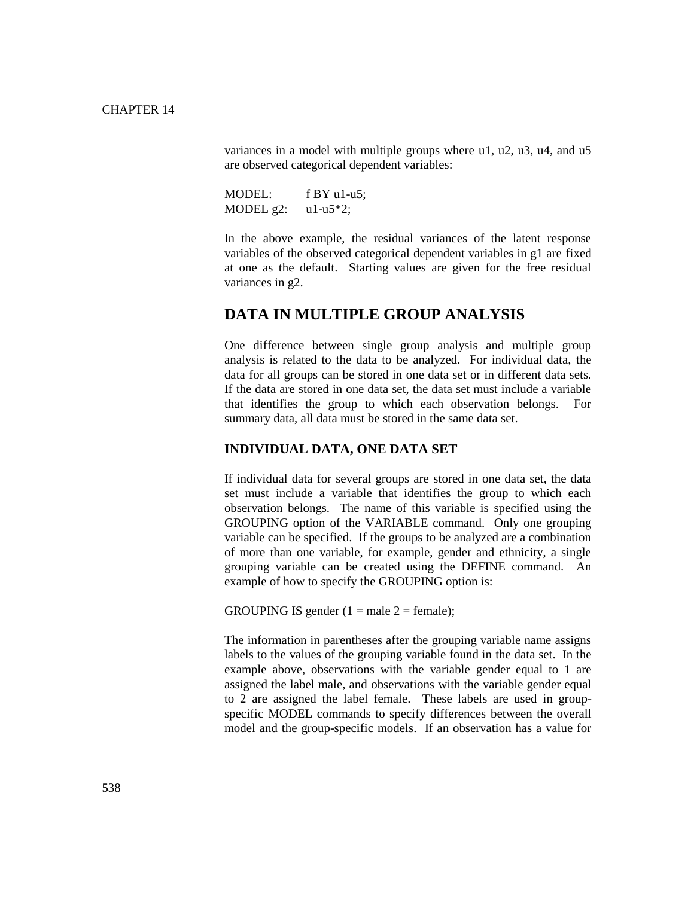variances in a model with multiple groups where u1, u2, u3, u4, and u5 are observed categorical dependent variables:

MODEL: f BY u1-u5; MODEL  $g2$ :  $u1-u5*2$ ;

In the above example, the residual variances of the latent response variables of the observed categorical dependent variables in g1 are fixed at one as the default. Starting values are given for the free residual variances in g2.

### **DATA IN MULTIPLE GROUP ANALYSIS**

One difference between single group analysis and multiple group analysis is related to the data to be analyzed. For individual data, the data for all groups can be stored in one data set or in different data sets. If the data are stored in one data set, the data set must include a variable that identifies the group to which each observation belongs. For summary data, all data must be stored in the same data set.

#### **INDIVIDUAL DATA, ONE DATA SET**

If individual data for several groups are stored in one data set, the data set must include a variable that identifies the group to which each observation belongs. The name of this variable is specified using the GROUPING option of the VARIABLE command. Only one grouping variable can be specified. If the groups to be analyzed are a combination of more than one variable, for example, gender and ethnicity, a single grouping variable can be created using the DEFINE command. An example of how to specify the GROUPING option is:

GROUPING IS gender  $(1 = male 2 = female);$ 

The information in parentheses after the grouping variable name assigns labels to the values of the grouping variable found in the data set. In the example above, observations with the variable gender equal to 1 are assigned the label male, and observations with the variable gender equal to 2 are assigned the label female. These labels are used in groupspecific MODEL commands to specify differences between the overall model and the group-specific models. If an observation has a value for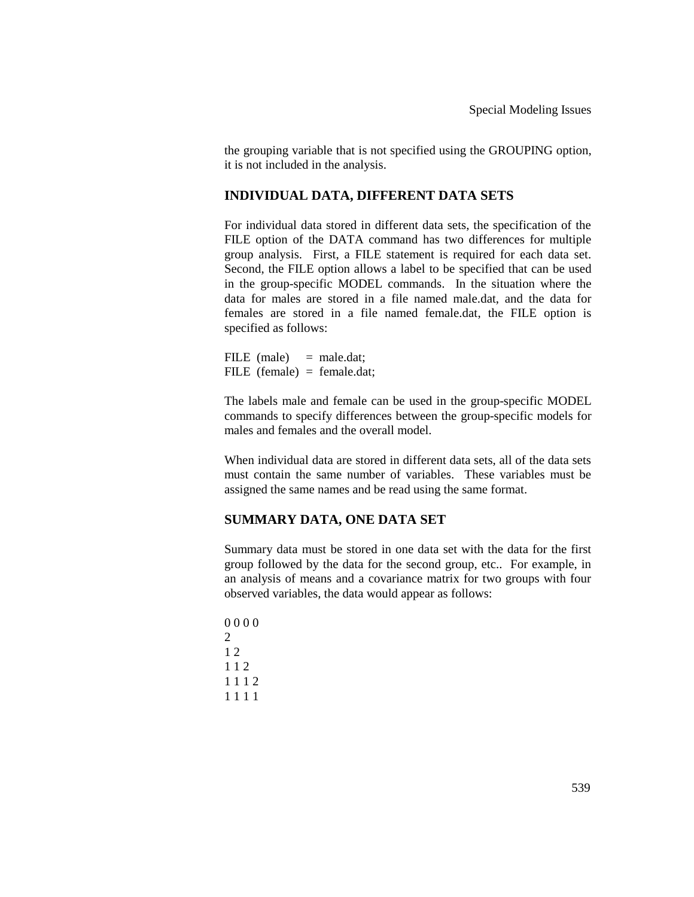the grouping variable that is not specified using the GROUPING option, it is not included in the analysis.

#### **INDIVIDUAL DATA, DIFFERENT DATA SETS**

For individual data stored in different data sets, the specification of the FILE option of the DATA command has two differences for multiple group analysis. First, a FILE statement is required for each data set. Second, the FILE option allows a label to be specified that can be used in the group-specific MODEL commands. In the situation where the data for males are stored in a file named male.dat, and the data for females are stored in a file named female.dat, the FILE option is specified as follows:

FILE  $(male)$  = male.dat; FILE (female) = female.dat;

The labels male and female can be used in the group-specific MODEL commands to specify differences between the group-specific models for males and females and the overall model.

When individual data are stored in different data sets, all of the data sets must contain the same number of variables. These variables must be assigned the same names and be read using the same format.

#### **SUMMARY DATA, ONE DATA SET**

Summary data must be stored in one data set with the data for the first group followed by the data for the second group, etc.. For example, in an analysis of means and a covariance matrix for two groups with four observed variables, the data would appear as follows: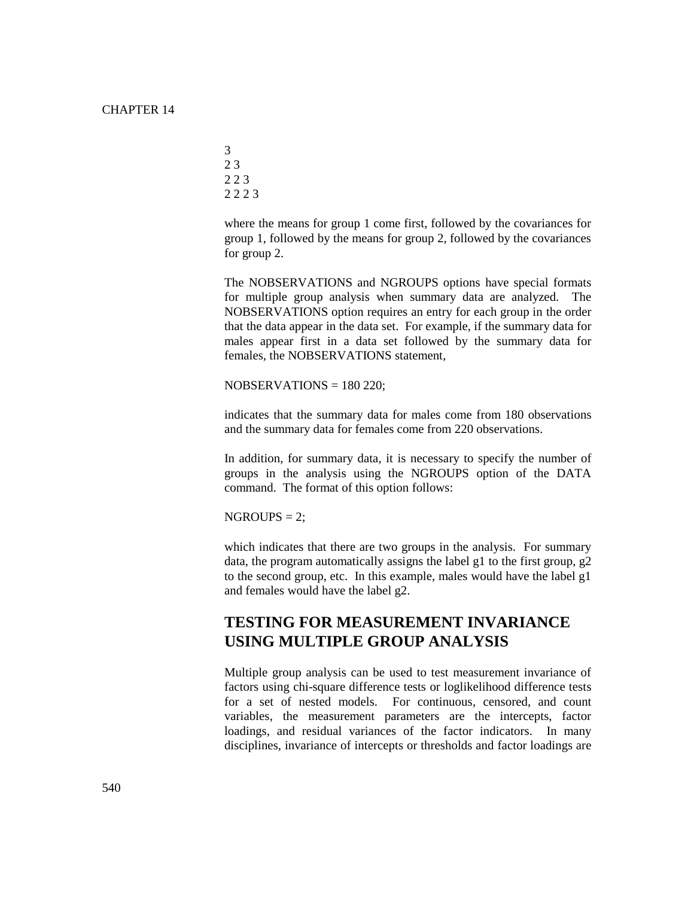> where the means for group 1 come first, followed by the covariances for group 1, followed by the means for group 2, followed by the covariances for group 2.

> The NOBSERVATIONS and NGROUPS options have special formats for multiple group analysis when summary data are analyzed. The NOBSERVATIONS option requires an entry for each group in the order that the data appear in the data set. For example, if the summary data for males appear first in a data set followed by the summary data for females, the NOBSERVATIONS statement,

 $NOBSERVATIONS = 180 220$ ;

indicates that the summary data for males come from 180 observations and the summary data for females come from 220 observations.

In addition, for summary data, it is necessary to specify the number of groups in the analysis using the NGROUPS option of the DATA command. The format of this option follows:

 $NGROUPS = 2$ :

which indicates that there are two groups in the analysis. For summary data, the program automatically assigns the label g1 to the first group, g2 to the second group, etc. In this example, males would have the label g1 and females would have the label g2.

### **TESTING FOR MEASUREMENT INVARIANCE USING MULTIPLE GROUP ANALYSIS**

Multiple group analysis can be used to test measurement invariance of factors using chi-square difference tests or loglikelihood difference tests for a set of nested models. For continuous, censored, and count variables, the measurement parameters are the intercepts, factor loadings, and residual variances of the factor indicators. In many disciplines, invariance of intercepts or thresholds and factor loadings are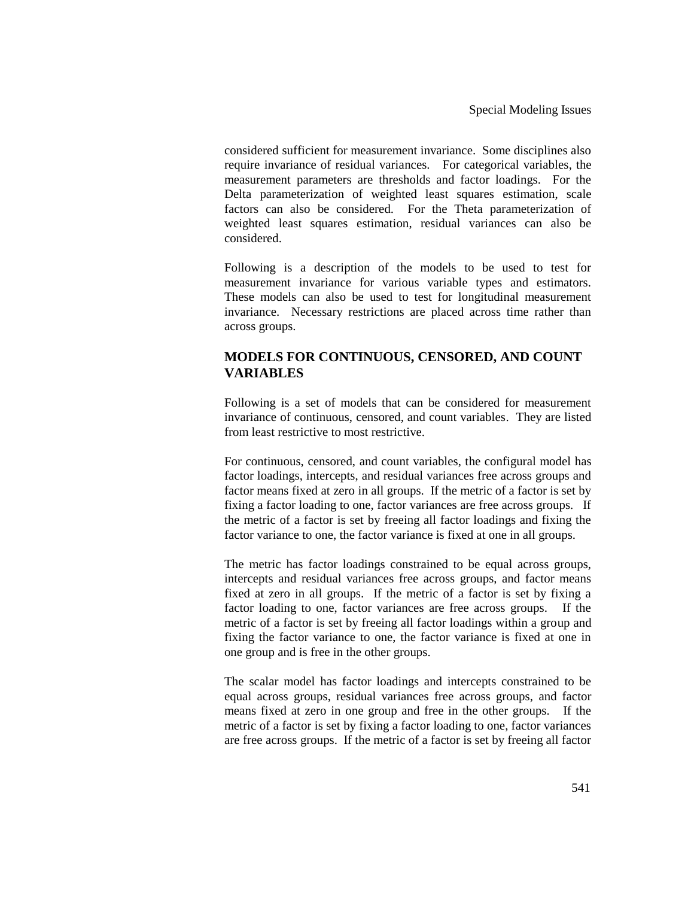considered sufficient for measurement invariance. Some disciplines also require invariance of residual variances. For categorical variables, the measurement parameters are thresholds and factor loadings. For the Delta parameterization of weighted least squares estimation, scale factors can also be considered. For the Theta parameterization of weighted least squares estimation, residual variances can also be considered.

Following is a description of the models to be used to test for measurement invariance for various variable types and estimators. These models can also be used to test for longitudinal measurement invariance. Necessary restrictions are placed across time rather than across groups.

### **MODELS FOR CONTINUOUS, CENSORED, AND COUNT VARIABLES**

Following is a set of models that can be considered for measurement invariance of continuous, censored, and count variables. They are listed from least restrictive to most restrictive.

For continuous, censored, and count variables, the configural model has factor loadings, intercepts, and residual variances free across groups and factor means fixed at zero in all groups. If the metric of a factor is set by fixing a factor loading to one, factor variances are free across groups. If the metric of a factor is set by freeing all factor loadings and fixing the factor variance to one, the factor variance is fixed at one in all groups.

The metric has factor loadings constrained to be equal across groups, intercepts and residual variances free across groups, and factor means fixed at zero in all groups. If the metric of a factor is set by fixing a factor loading to one, factor variances are free across groups. If the metric of a factor is set by freeing all factor loadings within a group and fixing the factor variance to one, the factor variance is fixed at one in one group and is free in the other groups.

The scalar model has factor loadings and intercepts constrained to be equal across groups, residual variances free across groups, and factor means fixed at zero in one group and free in the other groups. If the metric of a factor is set by fixing a factor loading to one, factor variances are free across groups. If the metric of a factor is set by freeing all factor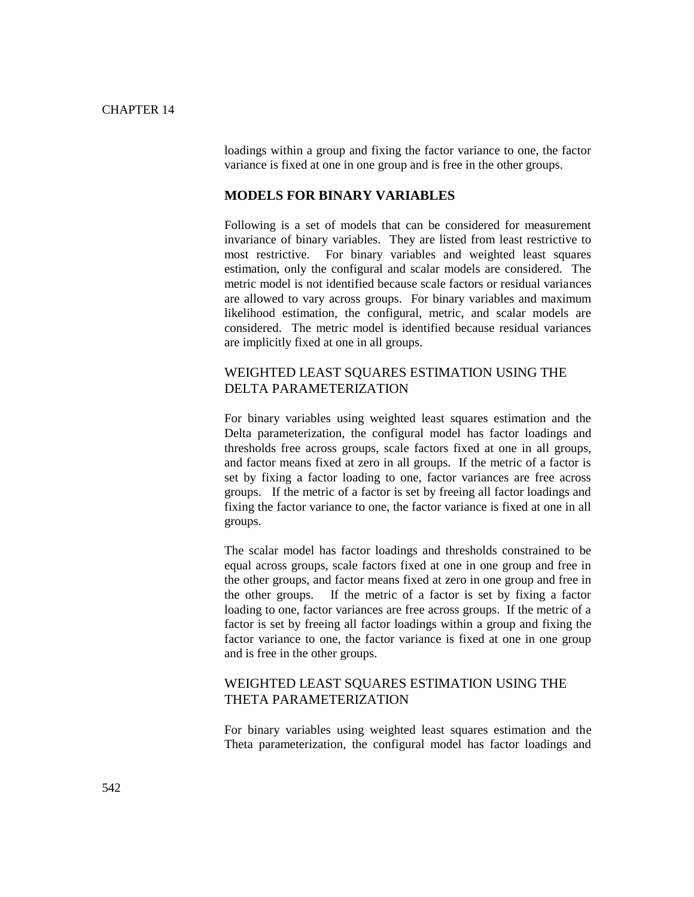loadings within a group and fixing the factor variance to one, the factor variance is fixed at one in one group and is free in the other groups.

#### **MODELS FOR BINARY VARIABLES**

Following is a set of models that can be considered for measurement invariance of binary variables. They are listed from least restrictive to most restrictive. For binary variables and weighted least squares estimation, only the configural and scalar models are considered. The metric model is not identified because scale factors or residual variances are allowed to vary across groups. For binary variables and maximum likelihood estimation, the configural, metric, and scalar models are considered. The metric model is identified because residual variances are implicitly fixed at one in all groups.

### WEIGHTED LEAST SQUARES ESTIMATION USING THE DELTA PARAMETERIZATION

For binary variables using weighted least squares estimation and the Delta parameterization, the configural model has factor loadings and thresholds free across groups, scale factors fixed at one in all groups, and factor means fixed at zero in all groups. If the metric of a factor is set by fixing a factor loading to one, factor variances are free across groups. If the metric of a factor is set by freeing all factor loadings and fixing the factor variance to one, the factor variance is fixed at one in all groups.

The scalar model has factor loadings and thresholds constrained to be equal across groups, scale factors fixed at one in one group and free in the other groups, and factor means fixed at zero in one group and free in the other groups. If the metric of a factor is set by fixing a factor loading to one, factor variances are free across groups. If the metric of a factor is set by freeing all factor loadings within a group and fixing the factor variance to one, the factor variance is fixed at one in one group and is free in the other groups.

#### WEIGHTED LEAST SQUARES ESTIMATION USING THE THETA PARAMETERIZATION

For binary variables using weighted least squares estimation and the Theta parameterization, the configural model has factor loadings and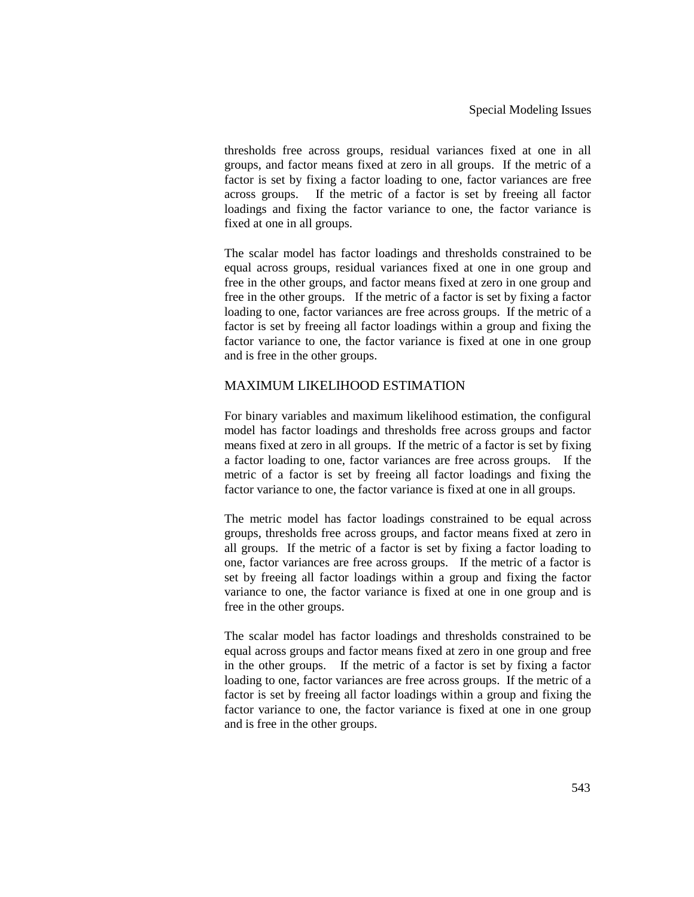thresholds free across groups, residual variances fixed at one in all groups, and factor means fixed at zero in all groups. If the metric of a factor is set by fixing a factor loading to one, factor variances are free across groups. If the metric of a factor is set by freeing all factor loadings and fixing the factor variance to one, the factor variance is fixed at one in all groups.

The scalar model has factor loadings and thresholds constrained to be equal across groups, residual variances fixed at one in one group and free in the other groups, and factor means fixed at zero in one group and free in the other groups. If the metric of a factor is set by fixing a factor loading to one, factor variances are free across groups. If the metric of a factor is set by freeing all factor loadings within a group and fixing the factor variance to one, the factor variance is fixed at one in one group and is free in the other groups.

### MAXIMUM LIKELIHOOD ESTIMATION

For binary variables and maximum likelihood estimation, the configural model has factor loadings and thresholds free across groups and factor means fixed at zero in all groups. If the metric of a factor is set by fixing a factor loading to one, factor variances are free across groups. If the metric of a factor is set by freeing all factor loadings and fixing the factor variance to one, the factor variance is fixed at one in all groups.

The metric model has factor loadings constrained to be equal across groups, thresholds free across groups, and factor means fixed at zero in all groups. If the metric of a factor is set by fixing a factor loading to one, factor variances are free across groups. If the metric of a factor is set by freeing all factor loadings within a group and fixing the factor variance to one, the factor variance is fixed at one in one group and is free in the other groups.

The scalar model has factor loadings and thresholds constrained to be equal across groups and factor means fixed at zero in one group and free in the other groups. If the metric of a factor is set by fixing a factor loading to one, factor variances are free across groups. If the metric of a factor is set by freeing all factor loadings within a group and fixing the factor variance to one, the factor variance is fixed at one in one group and is free in the other groups.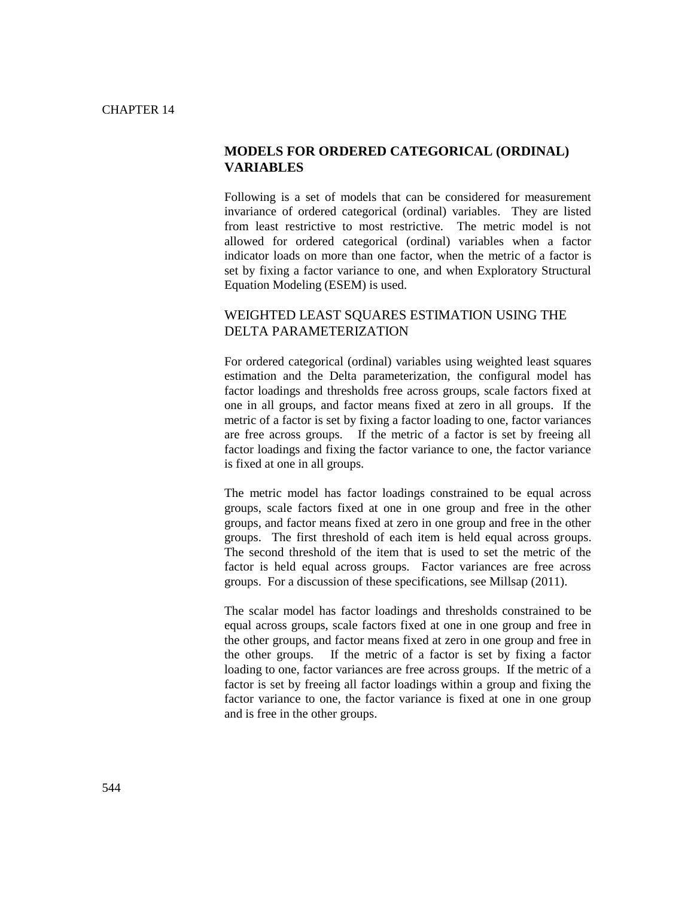#### **MODELS FOR ORDERED CATEGORICAL (ORDINAL) VARIABLES**

Following is a set of models that can be considered for measurement invariance of ordered categorical (ordinal) variables. They are listed from least restrictive to most restrictive. The metric model is not allowed for ordered categorical (ordinal) variables when a factor indicator loads on more than one factor, when the metric of a factor is set by fixing a factor variance to one, and when Exploratory Structural Equation Modeling (ESEM) is used.

#### WEIGHTED LEAST SQUARES ESTIMATION USING THE DELTA PARAMETERIZATION

For ordered categorical (ordinal) variables using weighted least squares estimation and the Delta parameterization, the configural model has factor loadings and thresholds free across groups, scale factors fixed at one in all groups, and factor means fixed at zero in all groups. If the metric of a factor is set by fixing a factor loading to one, factor variances are free across groups. If the metric of a factor is set by freeing all factor loadings and fixing the factor variance to one, the factor variance is fixed at one in all groups.

The metric model has factor loadings constrained to be equal across groups, scale factors fixed at one in one group and free in the other groups, and factor means fixed at zero in one group and free in the other groups. The first threshold of each item is held equal across groups. The second threshold of the item that is used to set the metric of the factor is held equal across groups. Factor variances are free across groups. For a discussion of these specifications, see Millsap (2011).

The scalar model has factor loadings and thresholds constrained to be equal across groups, scale factors fixed at one in one group and free in the other groups, and factor means fixed at zero in one group and free in the other groups. If the metric of a factor is set by fixing a factor loading to one, factor variances are free across groups. If the metric of a factor is set by freeing all factor loadings within a group and fixing the factor variance to one, the factor variance is fixed at one in one group and is free in the other groups.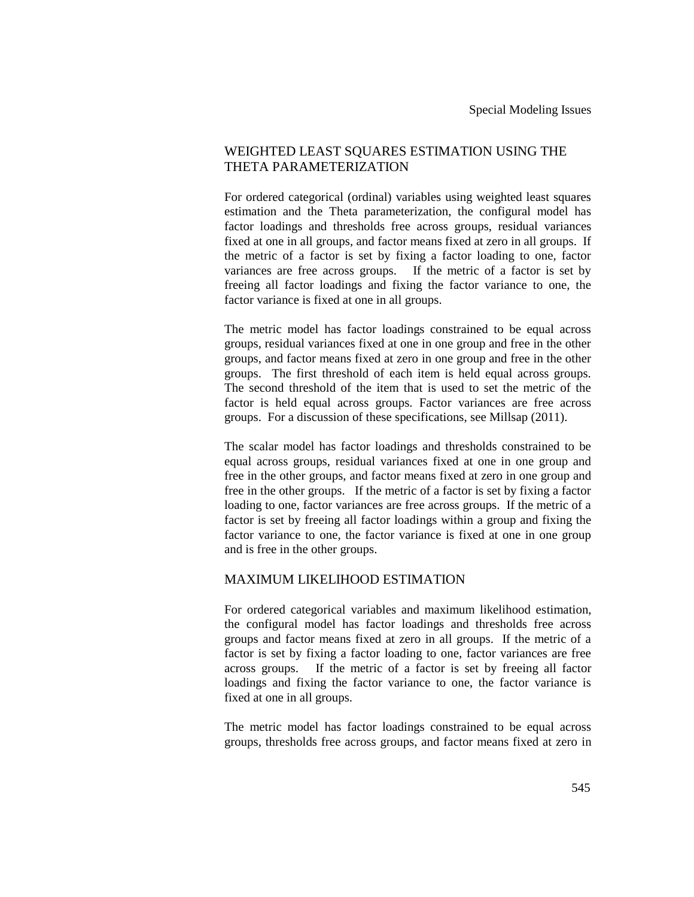### WEIGHTED LEAST SQUARES ESTIMATION USING THE THETA PARAMETERIZATION

For ordered categorical (ordinal) variables using weighted least squares estimation and the Theta parameterization, the configural model has factor loadings and thresholds free across groups, residual variances fixed at one in all groups, and factor means fixed at zero in all groups. If the metric of a factor is set by fixing a factor loading to one, factor variances are free across groups. If the metric of a factor is set by freeing all factor loadings and fixing the factor variance to one, the factor variance is fixed at one in all groups.

The metric model has factor loadings constrained to be equal across groups, residual variances fixed at one in one group and free in the other groups, and factor means fixed at zero in one group and free in the other groups. The first threshold of each item is held equal across groups. The second threshold of the item that is used to set the metric of the factor is held equal across groups. Factor variances are free across groups. For a discussion of these specifications, see Millsap (2011).

The scalar model has factor loadings and thresholds constrained to be equal across groups, residual variances fixed at one in one group and free in the other groups, and factor means fixed at zero in one group and free in the other groups. If the metric of a factor is set by fixing a factor loading to one, factor variances are free across groups. If the metric of a factor is set by freeing all factor loadings within a group and fixing the factor variance to one, the factor variance is fixed at one in one group and is free in the other groups.

#### MAXIMUM LIKELIHOOD ESTIMATION

For ordered categorical variables and maximum likelihood estimation, the configural model has factor loadings and thresholds free across groups and factor means fixed at zero in all groups. If the metric of a factor is set by fixing a factor loading to one, factor variances are free across groups. If the metric of a factor is set by freeing all factor loadings and fixing the factor variance to one, the factor variance is fixed at one in all groups.

The metric model has factor loadings constrained to be equal across groups, thresholds free across groups, and factor means fixed at zero in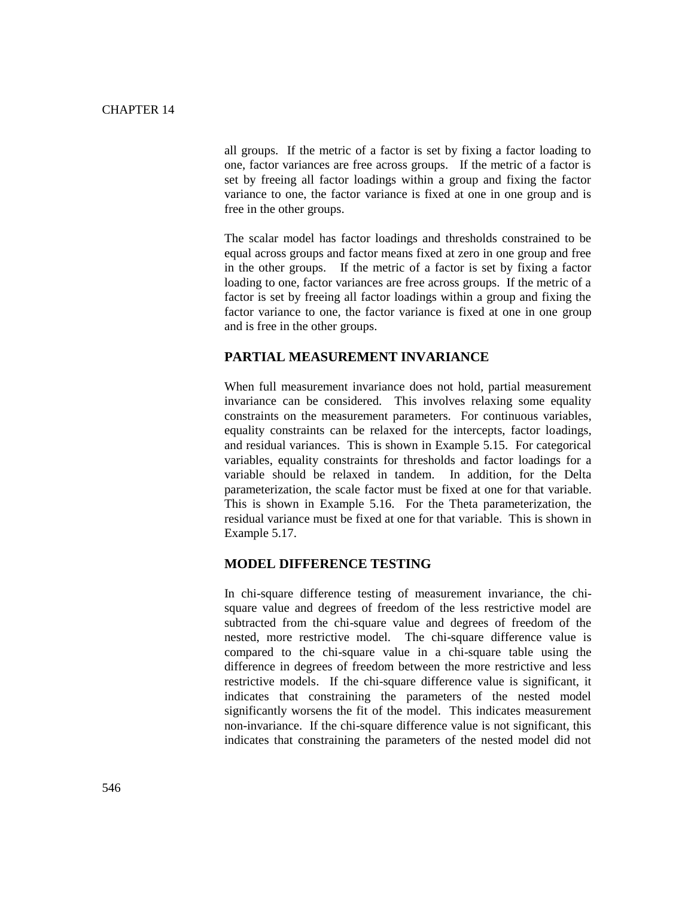all groups. If the metric of a factor is set by fixing a factor loading to one, factor variances are free across groups. If the metric of a factor is set by freeing all factor loadings within a group and fixing the factor variance to one, the factor variance is fixed at one in one group and is free in the other groups.

The scalar model has factor loadings and thresholds constrained to be equal across groups and factor means fixed at zero in one group and free in the other groups. If the metric of a factor is set by fixing a factor loading to one, factor variances are free across groups. If the metric of a factor is set by freeing all factor loadings within a group and fixing the factor variance to one, the factor variance is fixed at one in one group and is free in the other groups.

#### **PARTIAL MEASUREMENT INVARIANCE**

When full measurement invariance does not hold, partial measurement invariance can be considered. This involves relaxing some equality constraints on the measurement parameters. For continuous variables, equality constraints can be relaxed for the intercepts, factor loadings, and residual variances. This is shown in Example 5.15. For categorical variables, equality constraints for thresholds and factor loadings for a variable should be relaxed in tandem. In addition, for the Delta parameterization, the scale factor must be fixed at one for that variable. This is shown in Example 5.16. For the Theta parameterization, the residual variance must be fixed at one for that variable. This is shown in Example 5.17.

#### **MODEL DIFFERENCE TESTING**

In chi-square difference testing of measurement invariance, the chisquare value and degrees of freedom of the less restrictive model are subtracted from the chi-square value and degrees of freedom of the nested, more restrictive model. The chi-square difference value is compared to the chi-square value in a chi-square table using the difference in degrees of freedom between the more restrictive and less restrictive models. If the chi-square difference value is significant, it indicates that constraining the parameters of the nested model significantly worsens the fit of the model. This indicates measurement non-invariance. If the chi-square difference value is not significant, this indicates that constraining the parameters of the nested model did not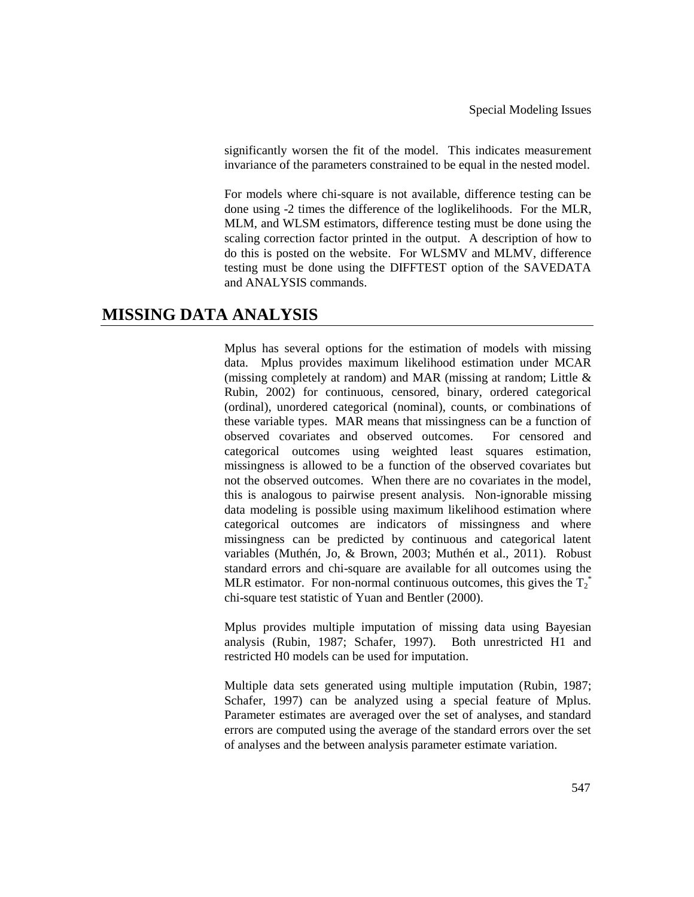significantly worsen the fit of the model. This indicates measurement invariance of the parameters constrained to be equal in the nested model.

For models where chi-square is not available, difference testing can be done using -2 times the difference of the loglikelihoods. For the MLR, MLM, and WLSM estimators, difference testing must be done using the scaling correction factor printed in the output. A description of how to do this is posted on the website. For WLSMV and MLMV, difference testing must be done using the DIFFTEST option of the SAVEDATA and ANALYSIS commands.

### **MISSING DATA ANALYSIS**

Mplus has several options for the estimation of models with missing data. Mplus provides maximum likelihood estimation under MCAR (missing completely at random) and MAR (missing at random; Little & Rubin, 2002) for continuous, censored, binary, ordered categorical (ordinal), unordered categorical (nominal), counts, or combinations of these variable types. MAR means that missingness can be a function of observed covariates and observed outcomes. For censored and categorical outcomes using weighted least squares estimation, missingness is allowed to be a function of the observed covariates but not the observed outcomes. When there are no covariates in the model, this is analogous to pairwise present analysis. Non-ignorable missing data modeling is possible using maximum likelihood estimation where categorical outcomes are indicators of missingness and where missingness can be predicted by continuous and categorical latent variables (Muthén, Jo, & Brown, 2003; Muthén et al., 2011). Robust standard errors and chi-square are available for all outcomes using the MLR estimator. For non-normal continuous outcomes, this gives the  $T_2^*$ chi-square test statistic of Yuan and Bentler (2000).

Mplus provides multiple imputation of missing data using Bayesian analysis (Rubin, 1987; Schafer, 1997). Both unrestricted H1 and restricted H0 models can be used for imputation.

Multiple data sets generated using multiple imputation (Rubin, 1987; Schafer, 1997) can be analyzed using a special feature of Mplus. Parameter estimates are averaged over the set of analyses, and standard errors are computed using the average of the standard errors over the set of analyses and the between analysis parameter estimate variation.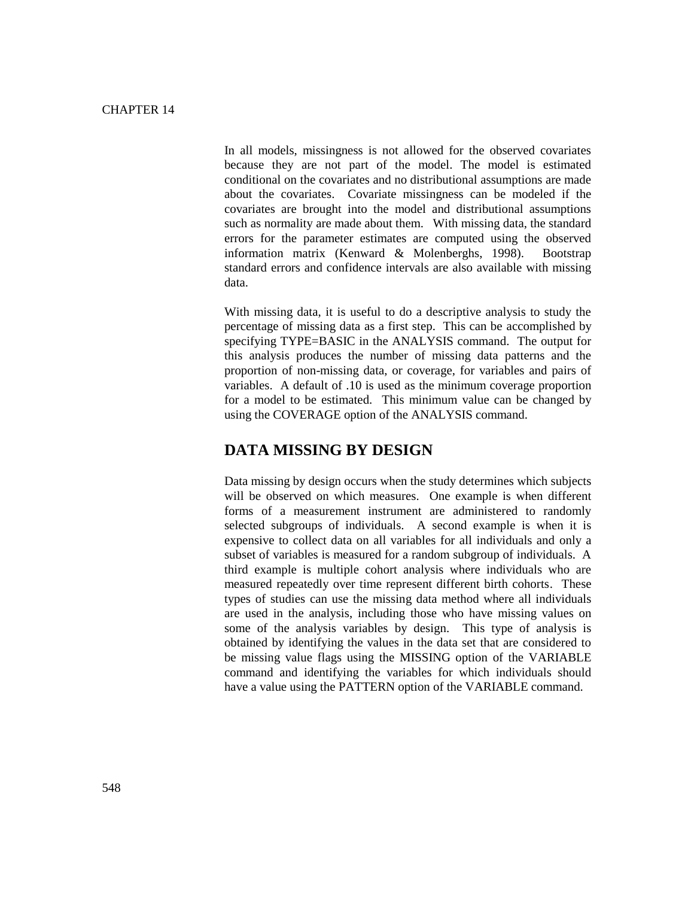In all models, missingness is not allowed for the observed covariates because they are not part of the model. The model is estimated conditional on the covariates and no distributional assumptions are made about the covariates. Covariate missingness can be modeled if the covariates are brought into the model and distributional assumptions such as normality are made about them. With missing data, the standard errors for the parameter estimates are computed using the observed information matrix (Kenward & Molenberghs, 1998). Bootstrap standard errors and confidence intervals are also available with missing data.

With missing data, it is useful to do a descriptive analysis to study the percentage of missing data as a first step. This can be accomplished by specifying TYPE=BASIC in the ANALYSIS command. The output for this analysis produces the number of missing data patterns and the proportion of non-missing data, or coverage, for variables and pairs of variables. A default of .10 is used as the minimum coverage proportion for a model to be estimated. This minimum value can be changed by using the COVERAGE option of the ANALYSIS command.

### **DATA MISSING BY DESIGN**

Data missing by design occurs when the study determines which subjects will be observed on which measures. One example is when different forms of a measurement instrument are administered to randomly selected subgroups of individuals. A second example is when it is expensive to collect data on all variables for all individuals and only a subset of variables is measured for a random subgroup of individuals. A third example is multiple cohort analysis where individuals who are measured repeatedly over time represent different birth cohorts. These types of studies can use the missing data method where all individuals are used in the analysis, including those who have missing values on some of the analysis variables by design. This type of analysis is obtained by identifying the values in the data set that are considered to be missing value flags using the MISSING option of the VARIABLE command and identifying the variables for which individuals should have a value using the PATTERN option of the VARIABLE command.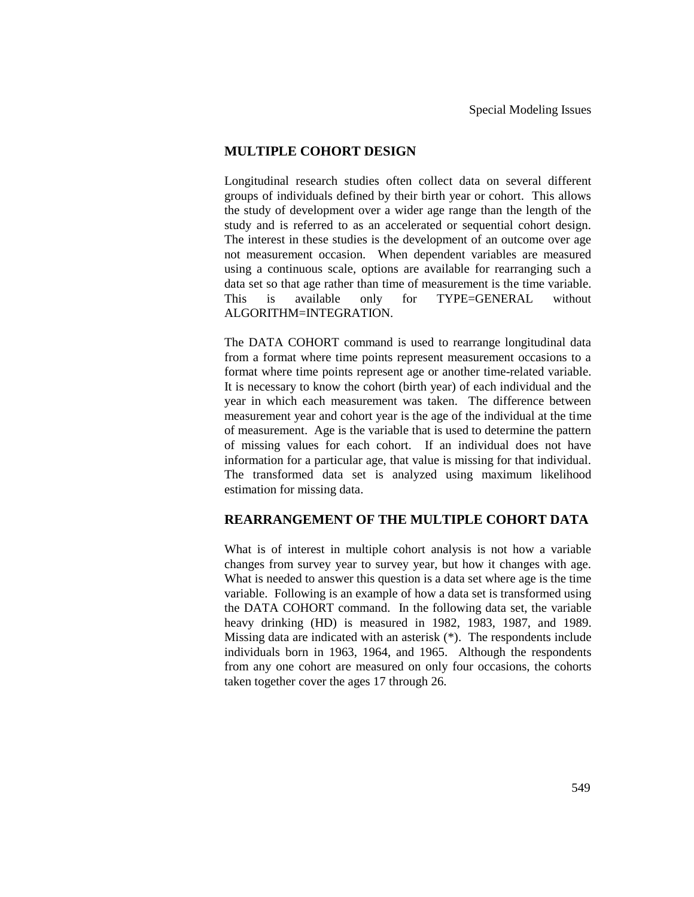#### **MULTIPLE COHORT DESIGN**

Longitudinal research studies often collect data on several different groups of individuals defined by their birth year or cohort. This allows the study of development over a wider age range than the length of the study and is referred to as an accelerated or sequential cohort design. The interest in these studies is the development of an outcome over age not measurement occasion. When dependent variables are measured using a continuous scale, options are available for rearranging such a data set so that age rather than time of measurement is the time variable. This is available only for TYPE=GENERAL without ALGORITHM=INTEGRATION.

The DATA COHORT command is used to rearrange longitudinal data from a format where time points represent measurement occasions to a format where time points represent age or another time-related variable. It is necessary to know the cohort (birth year) of each individual and the year in which each measurement was taken. The difference between measurement year and cohort year is the age of the individual at the time of measurement. Age is the variable that is used to determine the pattern of missing values for each cohort. If an individual does not have information for a particular age, that value is missing for that individual. The transformed data set is analyzed using maximum likelihood estimation for missing data.

#### **REARRANGEMENT OF THE MULTIPLE COHORT DATA**

What is of interest in multiple cohort analysis is not how a variable changes from survey year to survey year, but how it changes with age. What is needed to answer this question is a data set where age is the time variable. Following is an example of how a data set is transformed using the DATA COHORT command. In the following data set, the variable heavy drinking (HD) is measured in 1982, 1983, 1987, and 1989. Missing data are indicated with an asterisk (\*). The respondents include individuals born in 1963, 1964, and 1965. Although the respondents from any one cohort are measured on only four occasions, the cohorts taken together cover the ages 17 through 26.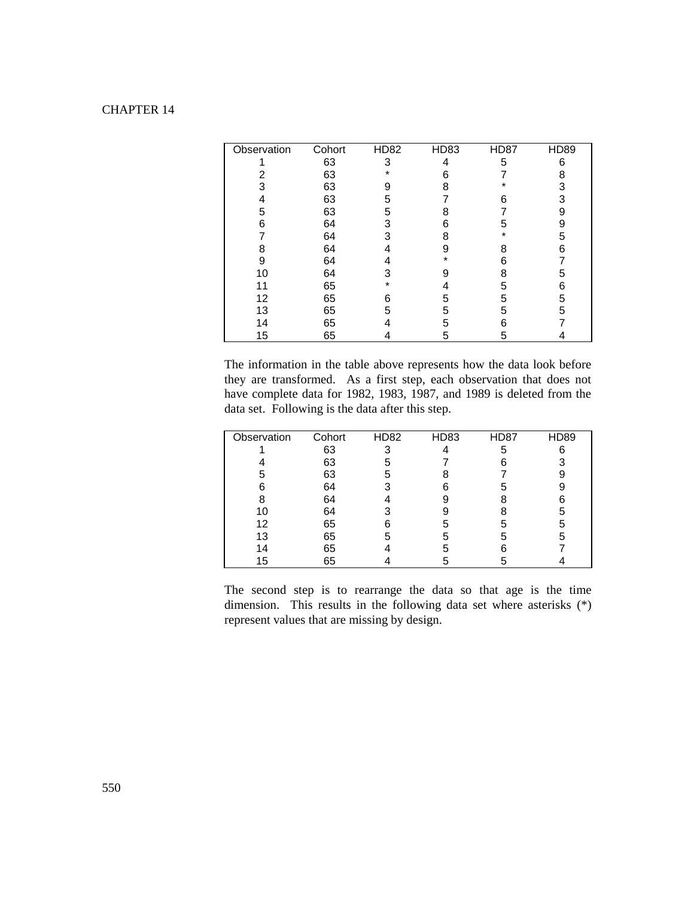| Observation | Cohort | <b>HD82</b> | HD83 | <b>HD87</b> | <b>HD89</b> |
|-------------|--------|-------------|------|-------------|-------------|
|             | 63     | 3           | 4    | 5           | 6           |
| 2           | 63     | *           | 6    |             | 8           |
| 3           | 63     | 9           | 8    |             | 3           |
|             | 63     | 5           |      | 6           | 3           |
| 5           | 63     | 5           | 8    |             | 9           |
| 6           | 64     | 3           | 6    | 5           | 9           |
|             | 64     | 3           | 8    | $\star$     | 5           |
| 8           | 64     |             | 9    | 8           | հ           |
| 9           | 64     |             |      | հ           |             |
| 10          | 64     | 3           |      | 8           | 5           |
| 11          | 65     | $\star$     |      | 5           | 6           |
| 12          | 65     | 6           | 5    | 5           | 5           |
| 13          | 65     | 5           | 5    | 5           | 5           |
| 14          | 65     |             | 5    | հ           |             |
| 15          | 65     |             | 5    | 5           |             |

The information in the table above represents how the data look before they are transformed. As a first step, each observation that does not have complete data for 1982, 1983, 1987, and 1989 is deleted from the data set. Following is the data after this step.

| Observation | Cohort | <b>HD82</b> | HD83 | <b>HD87</b> | <b>HD89</b> |
|-------------|--------|-------------|------|-------------|-------------|
|             | 63     | 3           |      | 5           | ี่ค         |
|             | 63     | 5           |      |             |             |
| 5           | 63     | 5           |      |             |             |
| հ           | 64     |             | 6    | h           |             |
|             | 64     |             |      |             |             |
| 10          | 64     |             |      |             |             |
| 12          | 65     |             | h    |             |             |
| 13          | 65     | 5           | 5    | .h          |             |
| 14          | 65     |             | h    |             |             |
| 15          | 65     |             |      |             |             |

The second step is to rearrange the data so that age is the time dimension. This results in the following data set where asterisks (\*) represent values that are missing by design.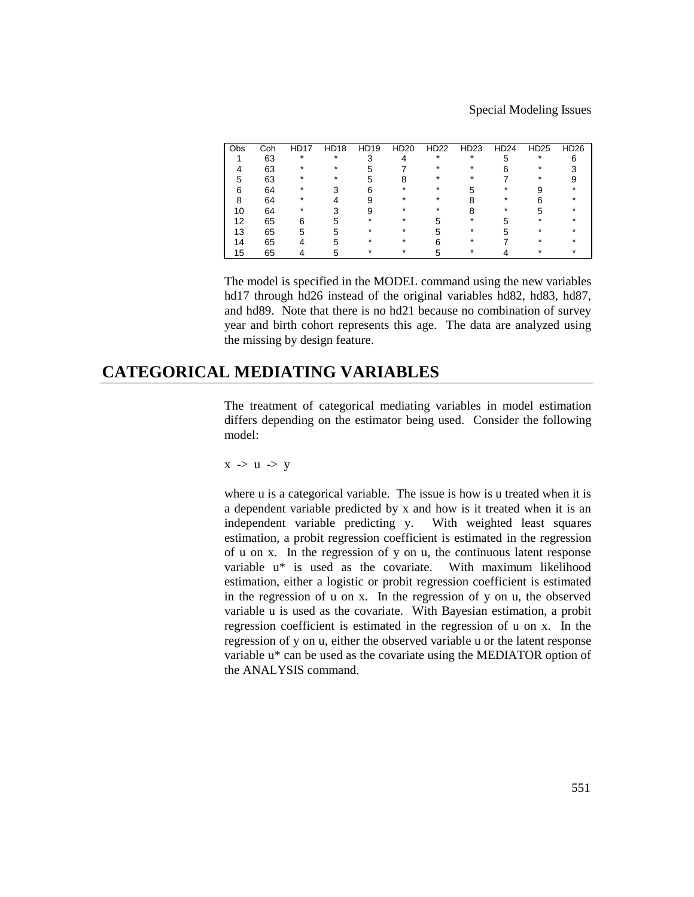Special Modeling Issues

| Coh<br>Obs | <b>HD17</b> | <b>HD18</b> | HD19 | HD <sub>20</sub> | <b>HD22</b> | HD <sub>23</sub> | HD24 | HD <sub>25</sub> | HD <sub>26</sub> |
|------------|-------------|-------------|------|------------------|-------------|------------------|------|------------------|------------------|
| 63         | ÷           | ÷           |      |                  | ÷           | $\star$          |      | ÷                |                  |
| 63         |             |             |      |                  |             |                  |      |                  |                  |
| 63         |             |             |      |                  |             |                  |      |                  |                  |
| 64         |             |             |      |                  |             |                  |      |                  |                  |
| 64         |             |             |      |                  |             |                  |      |                  |                  |
| 64<br>10   |             |             |      |                  |             |                  |      |                  |                  |
| 65         |             |             |      |                  |             |                  |      |                  |                  |
| 65         |             |             |      |                  |             |                  |      |                  |                  |
| 65         |             |             |      |                  |             |                  |      |                  |                  |
| 65<br>15.  |             |             |      |                  |             |                  |      |                  |                  |
|            |             |             |      |                  |             |                  |      |                  |                  |

The model is specified in the MODEL command using the new variables hd17 through hd26 instead of the original variables hd82, hd83, hd87, and hd89. Note that there is no hd21 because no combination of survey year and birth cohort represents this age. The data are analyzed using the missing by design feature.

# **CATEGORICAL MEDIATING VARIABLES**

The treatment of categorical mediating variables in model estimation differs depending on the estimator being used. Consider the following model:

$$
x\ \text{-{>}\ u\ \text{-{>}\ y}
$$

where u is a categorical variable. The issue is how is u treated when it is a dependent variable predicted by x and how is it treated when it is an independent variable predicting y. With weighted least squares estimation, a probit regression coefficient is estimated in the regression of u on x. In the regression of y on u, the continuous latent response variable u\* is used as the covariate. With maximum likelihood estimation, either a logistic or probit regression coefficient is estimated in the regression of u on x. In the regression of y on u, the observed variable u is used as the covariate. With Bayesian estimation, a probit regression coefficient is estimated in the regression of u on x. In the regression of y on u, either the observed variable u or the latent response variable u\* can be used as the covariate using the MEDIATOR option of the ANALYSIS command.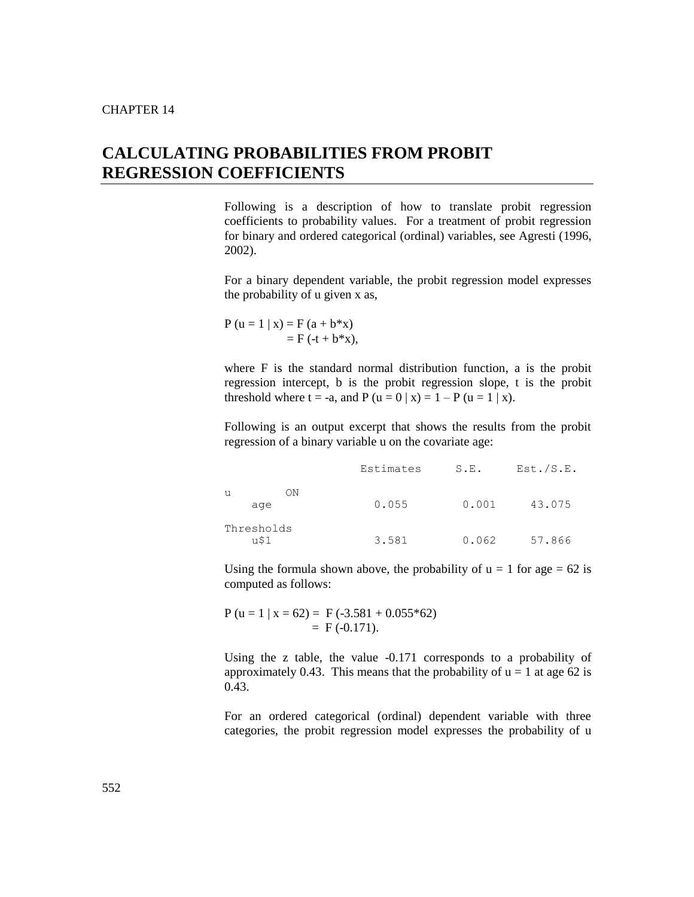# **CALCULATING PROBABILITIES FROM PROBIT REGRESSION COEFFICIENTS**

Following is a description of how to translate probit regression coefficients to probability values. For a treatment of probit regression for binary and ordered categorical (ordinal) variables, see Agresti (1996, 2002).

For a binary dependent variable, the probit regression model expresses the probability of u given x as,

 $P (u = 1 | x) = F (a + b^*x)$  $=$  F (-t + b\*x),

where F is the standard normal distribution function, a is the probit regression intercept, b is the probit regression slope, t is the probit threshold where  $t = -a$ , and  $P(u = 0 | x) = 1 - P(u = 1 | x)$ .

Following is an output excerpt that shows the results from the probit regression of a binary variable u on the covariate age:

|                    | Estimates | S.E.  | Est./S.E. |
|--------------------|-----------|-------|-----------|
| OΝ<br>u<br>age     | 0.055     | 0.001 | 43.075    |
| Thresholds<br>u\$1 | 3.581     | 0.062 | 57.866    |

Using the formula shown above, the probability of  $u = 1$  for age = 62 is computed as follows:

 $P (u = 1 | x = 62) = F(-3.581 + 0.055*62)$  $=$  F (-0.171).

Using the z table, the value -0.171 corresponds to a probability of approximately 0.43. This means that the probability of  $u = 1$  at age 62 is 0.43.

For an ordered categorical (ordinal) dependent variable with three categories, the probit regression model expresses the probability of u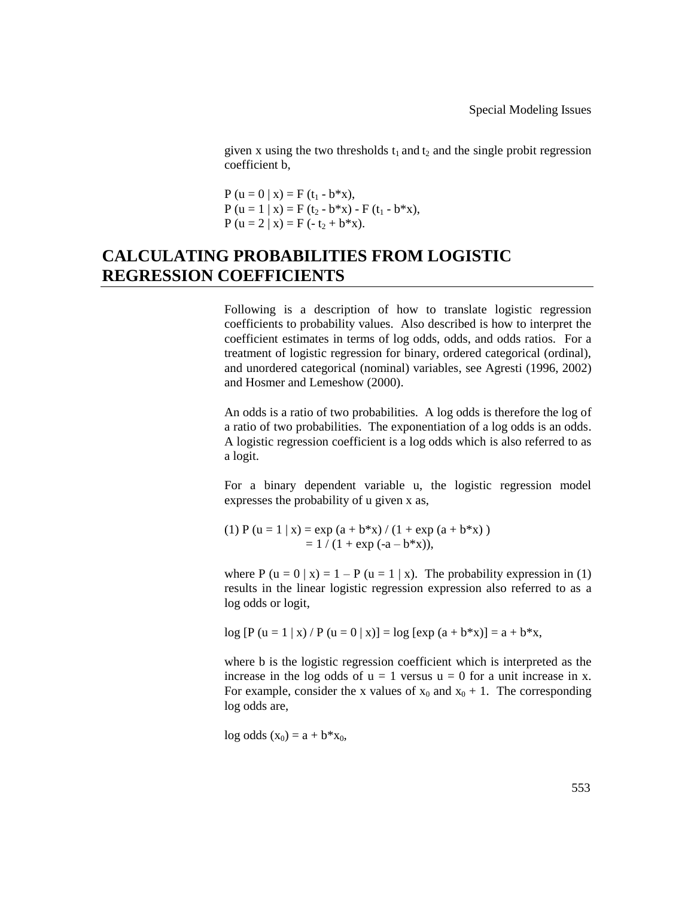given x using the two thresholds  $t_1$  and  $t_2$  and the single probit regression coefficient b,

 $P (u = 0 | x) = F (t_1 - b^*x),$  $P (u = 1 | x) = F (t_2 - b^*x) - F (t_1 - b^*x),$  $P (u = 2 | x) = F (-t<sub>2</sub> + b*x).$ 

# **CALCULATING PROBABILITIES FROM LOGISTIC REGRESSION COEFFICIENTS**

Following is a description of how to translate logistic regression coefficients to probability values. Also described is how to interpret the coefficient estimates in terms of log odds, odds, and odds ratios. For a treatment of logistic regression for binary, ordered categorical (ordinal), and unordered categorical (nominal) variables, see Agresti (1996, 2002) and Hosmer and Lemeshow (2000).

An odds is a ratio of two probabilities. A log odds is therefore the log of a ratio of two probabilities. The exponentiation of a log odds is an odds. A logistic regression coefficient is a log odds which is also referred to as a logit.

For a binary dependent variable u, the logistic regression model expresses the probability of u given x as,

(1) P (u = 1 | x) = exp (a + b\*x) / (1 + exp (a + b\*x))  $= 1 / (1 + \exp(-a - b^*x)),$ 

where P  $(u = 0 | x) = 1 - P (u = 1 | x)$ . The probability expression in (1) results in the linear logistic regression expression also referred to as a log odds or logit,

 $log [P (u = 1 | x) / P (u = 0 | x)] = log [exp (a + b* x)] = a + b* x,$ 

where b is the logistic regression coefficient which is interpreted as the increase in the log odds of  $u = 1$  versus  $u = 0$  for a unit increase in x. For example, consider the x values of  $x_0$  and  $x_0 + 1$ . The corresponding log odds are,

 $log odds (x_0) = a + b*x_0,$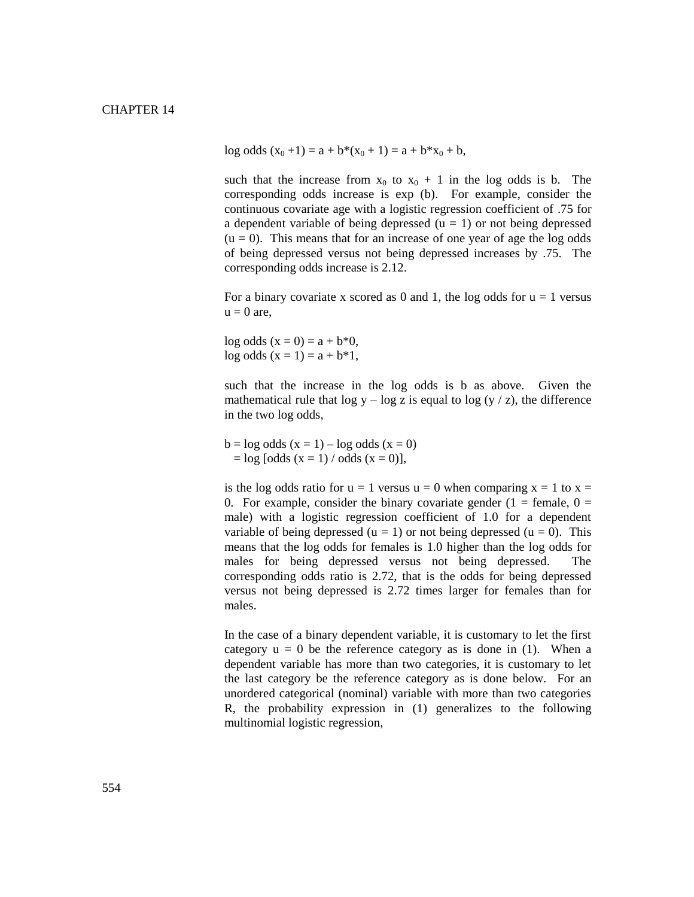log odds  $(x_0 + 1) = a + b*(x_0 + 1) = a + b*x_0 + b$ ,

such that the increase from  $x_0$  to  $x_0 + 1$  in the log odds is b. The corresponding odds increase is exp (b). For example, consider the continuous covariate age with a logistic regression coefficient of .75 for a dependent variable of being depressed  $(u = 1)$  or not being depressed  $(u = 0)$ . This means that for an increase of one year of age the log odds of being depressed versus not being depressed increases by .75. The corresponding odds increase is 2.12.

For a binary covariate x scored as 0 and 1, the log odds for  $u = 1$  versus  $u = 0$  are,

 $log \cdot (x = 0) = a + b*0,$  $log odds (x = 1) = a + b*1,$ 

such that the increase in the log odds is b as above. Given the mathematical rule that  $\log y - \log z$  is equal to  $\log (y / z)$ , the difference in the two log odds,

 $b = \log$  odds  $(x = 1) - \log$  odds  $(x = 0)$  $=$  log [odds (x = 1) / odds (x = 0)],

is the log odds ratio for  $u = 1$  versus  $u = 0$  when comparing  $x = 1$  to  $x =$ 0. For example, consider the binary covariate gender  $(1 = \text{female}, 0 =$ male) with a logistic regression coefficient of 1.0 for a dependent variable of being depressed (u = 1) or not being depressed (u = 0). This means that the log odds for females is 1.0 higher than the log odds for males for being depressed versus not being depressed. The corresponding odds ratio is 2.72, that is the odds for being depressed versus not being depressed is 2.72 times larger for females than for males.

In the case of a binary dependent variable, it is customary to let the first category  $u = 0$  be the reference category as is done in (1). When a dependent variable has more than two categories, it is customary to let the last category be the reference category as is done below. For an unordered categorical (nominal) variable with more than two categories R, the probability expression in (1) generalizes to the following multinomial logistic regression,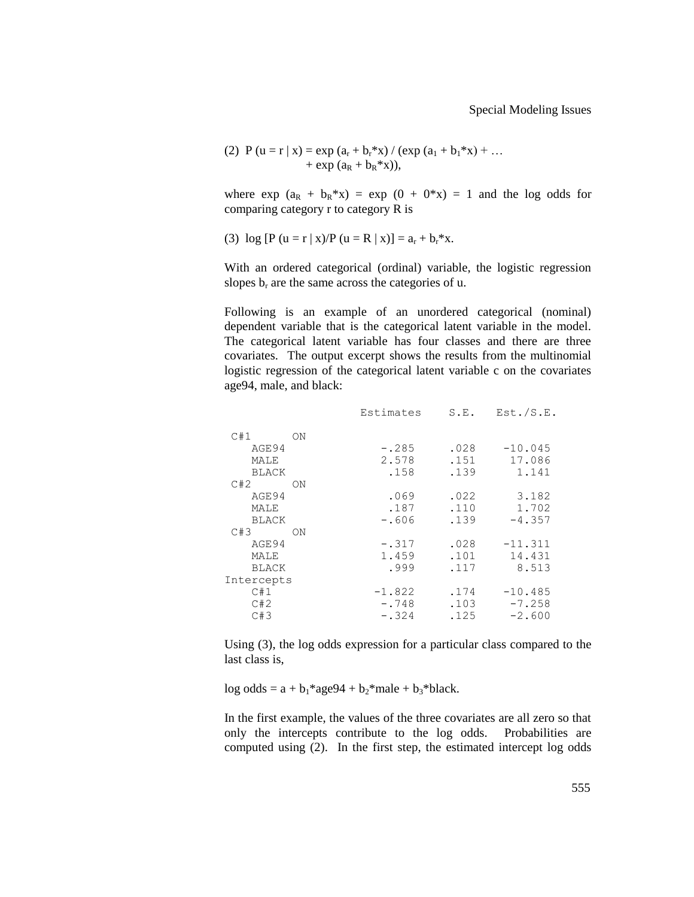(2) 
$$
P(u = r | x) = exp(a_r + b_r * x) / (exp(a_1 + b_1 * x) + ... + exp(a_R + b_R * x)),
$$

where  $\exp (a_R + b_R * x) = \exp (0 + 0 * x) = 1$  and the log odds for comparing category r to category R is

(3) 
$$
\log [P (u = r | x)/P (u = R | x)] = a_r + b_r * x.
$$

With an ordered categorical (ordinal) variable, the logistic regression slopes  $b_r$  are the same across the categories of u.

Following is an example of an unordered categorical (nominal) dependent variable that is the categorical latent variable in the model. The categorical latent variable has four classes and there are three covariates. The output excerpt shows the results from the multinomial logistic regression of the categorical latent variable c on the covariates age94, male, and black:

| Estimates | S.E. | Est./S.E. |
|-----------|------|-----------|
|           |      |           |
| $-.285$   | .028 | $-10.045$ |
| 2.578     | .151 | 17.086    |
| .158      | .139 | 1.141     |
|           |      |           |
| .069      | .022 | 3.182     |
| .187      | .110 | 1.702     |
| $-.606$   | .139 | $-4.357$  |
|           |      |           |
| $-.317$   | .028 | $-11.311$ |
| 1.459     | .101 | 14.431    |
| .999      | .117 | 8.513     |
|           |      |           |
| $-1.822$  | .174 | $-10.485$ |
| $-.748$   | .103 | $-7.258$  |
| $-.324$   | .125 | $-2.600$  |
|           |      |           |

Using (3), the log odds expression for a particular class compared to the last class is,

log odds =  $a + b_1$ \*age94 +  $b_2$ \*male +  $b_3$ \*black.

In the first example, the values of the three covariates are all zero so that only the intercepts contribute to the log odds. Probabilities are computed using (2). In the first step, the estimated intercept log odds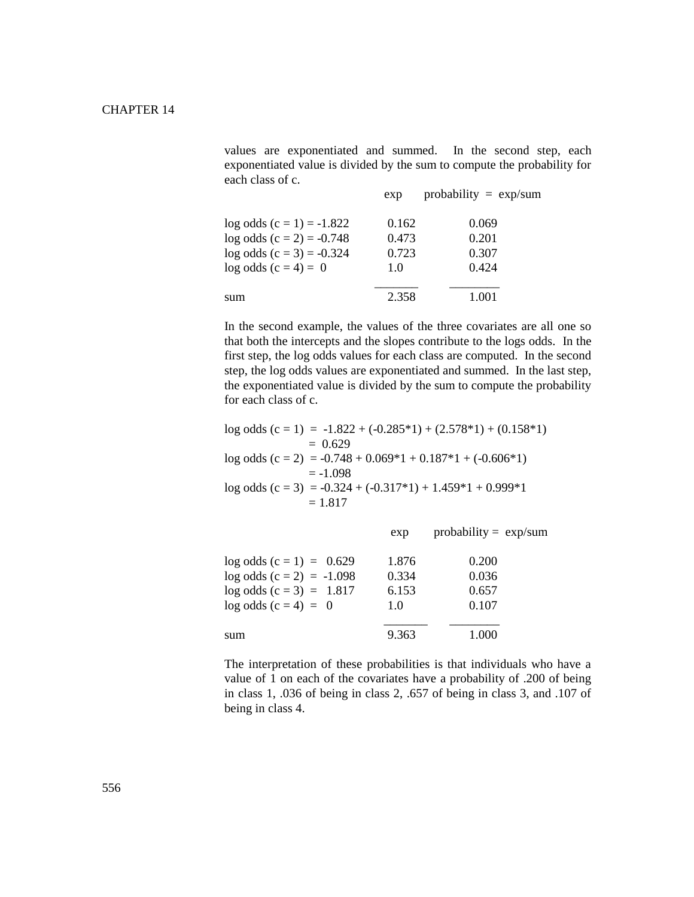values are exponentiated and summed. In the second step, each exponentiated value is divided by the sum to compute the probability for each class of c.

|                             | exp   | probability = $exp/sum$ |
|-----------------------------|-------|-------------------------|
| $log odds (c = 1) = -1.822$ | 0.162 | 0.069                   |
| $log odds (c = 2) = -0.748$ | 0.473 | 0.201                   |
| $log odds (c = 3) = -0.324$ | 0.723 | 0.307                   |
| $log$ odds $(c = 4) = 0$    | 1.0   | 0.424                   |
| sum                         | 2.358 | 1.001                   |

In the second example, the values of the three covariates are all one so that both the intercepts and the slopes contribute to the logs odds. In the first step, the log odds values for each class are computed. In the second step, the log odds values are exponentiated and summed. In the last step, the exponentiated value is divided by the sum to compute the probability for each class of c.

|           | $log \text{ odds}(c = 1) = -1.822 + (-0.285*1) + (2.578*1) + (0.158*1)$ |
|-----------|-------------------------------------------------------------------------|
|           | $= 0.629$                                                               |
|           | $log \text{ odds}$ (c = 2) = -0.748 + 0.069*1 + 0.187*1 + (-0.606*1)    |
|           | $= -1.098$                                                              |
|           | $log \text{ odds}$ (c = 3) = -0.324 + (-0.317*1) + 1.459*1 + 0.999*1    |
| $= 1.817$ |                                                                         |

|                             | exp   | probability = $\exp/\text{sum}$ |
|-----------------------------|-------|---------------------------------|
| $log odds (c = 1) = 0.629$  | 1.876 | 0.200                           |
| $log odds (c = 2) = -1.098$ | 0.334 | 0.036                           |
| $log odds (c = 3) = 1.817$  | 6.153 | 0.657                           |
| $log odds (c = 4) = 0$      | 1.0   | 0.107                           |
| sum                         | 9.363 | 1.000                           |

The interpretation of these probabilities is that individuals who have a value of 1 on each of the covariates have a probability of .200 of being in class 1, .036 of being in class 2, .657 of being in class 3, and .107 of being in class 4.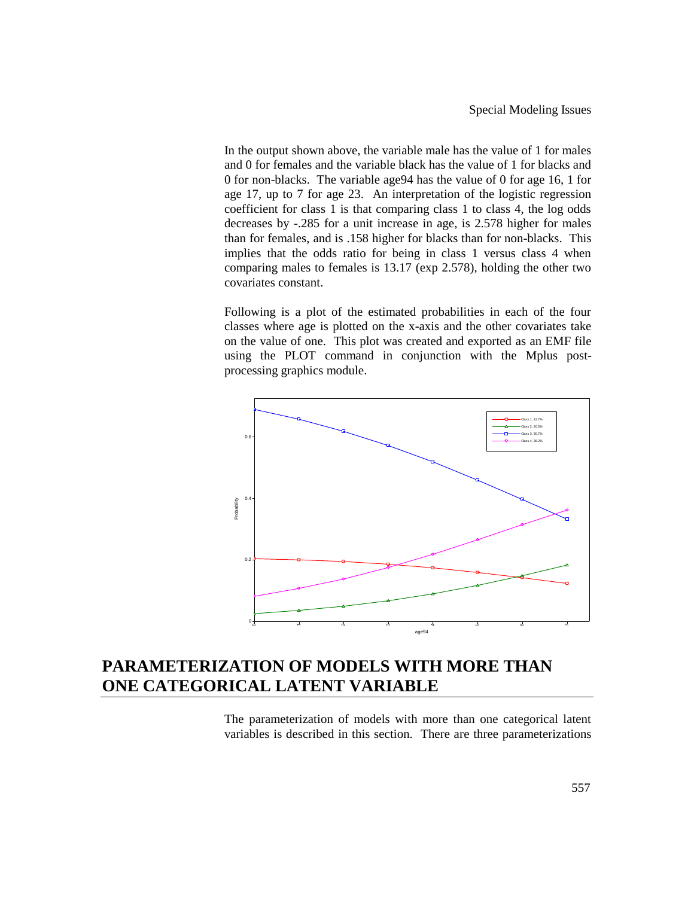In the output shown above, the variable male has the value of 1 for males and 0 for females and the variable black has the value of 1 for blacks and 0 for non-blacks. The variable age94 has the value of 0 for age 16, 1 for age 17, up to 7 for age 23. An interpretation of the logistic regression coefficient for class 1 is that comparing class 1 to class 4, the log odds decreases by -.285 for a unit increase in age, is 2.578 higher for males than for females, and is .158 higher for blacks than for non-blacks. This implies that the odds ratio for being in class 1 versus class 4 when comparing males to females is 13.17 (exp 2.578), holding the other two covariates constant.

Following is a plot of the estimated probabilities in each of the four classes where age is plotted on the x-axis and the other covariates take on the value of one. This plot was created and exported as an EMF file using the PLOT command in conjunction with the Mplus postprocessing graphics module.



# **PARAMETERIZATION OF MODELS WITH MORE THAN ONE CATEGORICAL LATENT VARIABLE**

The parameterization of models with more than one categorical latent variables is described in this section. There are three parameterizations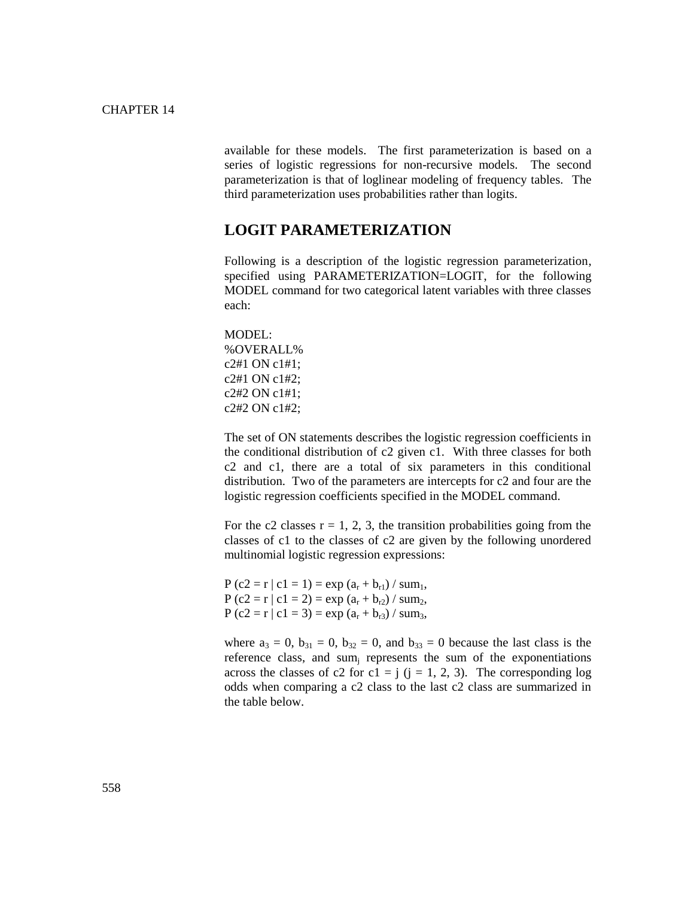available for these models. The first parameterization is based on a series of logistic regressions for non-recursive models. The second parameterization is that of loglinear modeling of frequency tables. The third parameterization uses probabilities rather than logits.

### **LOGIT PARAMETERIZATION**

Following is a description of the logistic regression parameterization, specified using PARAMETERIZATION=LOGIT, for the following MODEL command for two categorical latent variables with three classes each:

MODEL: %OVERALL% c2#1 ON c1#1; c2#1 ON c1#2; c2#2 ON c1#1; c2#2 ON c1#2;

The set of ON statements describes the logistic regression coefficients in the conditional distribution of c2 given c1. With three classes for both c2 and c1, there are a total of six parameters in this conditional distribution. Two of the parameters are intercepts for c2 and four are the logistic regression coefficients specified in the MODEL command.

For the c2 classes  $r = 1, 2, 3$ , the transition probabilities going from the classes of c1 to the classes of c2 are given by the following unordered multinomial logistic regression expressions:

 $P (c2 = r | c1 = 1) = exp (a_r + b_{r1}) / sum_1$ ,  $P (c2 = r | c1 = 2) = exp (a_r + b_{r2}) / sum_2$ P (c2 = r | c1 = 3) = exp ( $a_r + b_{r3}$ ) / sum<sub>3</sub>,

where  $a_3 = 0$ ,  $b_{31} = 0$ ,  $b_{32} = 0$ , and  $b_{33} = 0$  because the last class is the reference class, and sum<sub>i</sub> represents the sum of the exponentiations across the classes of c2 for c1 = j (j = 1, 2, 3). The corresponding log odds when comparing a c2 class to the last c2 class are summarized in the table below.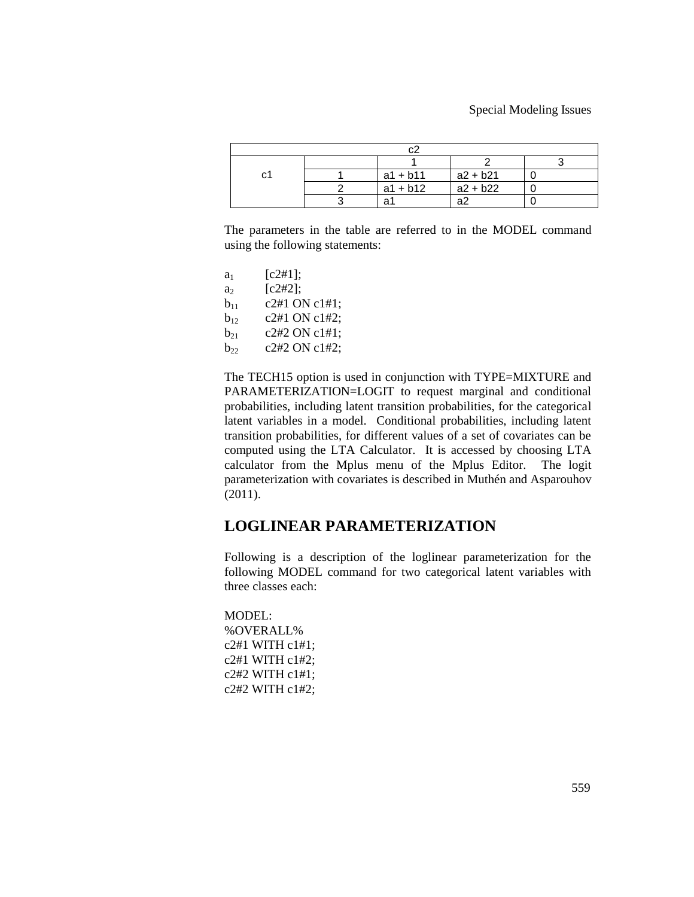| C٦ |  | $a1 + b11$ | $a2 + b21$ |  |  |
|----|--|------------|------------|--|--|
|    |  | $a1 + b12$ | $a2 + b22$ |  |  |
|    |  | ີ          | ົດ.        |  |  |

The parameters in the table are referred to in the MODEL command using the following statements:

| $a_1$    | [c2#1];       |
|----------|---------------|
| a        | [c2#2];       |
| $b_{11}$ | c2#1 ON c1#1; |
| $b_{12}$ | c2#1 ON c1#2; |
| $b_{21}$ | c2#2 ON c1#1: |
| $b_{22}$ | c2#2 ON c1#2; |

The TECH15 option is used in conjunction with TYPE=MIXTURE and PARAMETERIZATION=LOGIT to request marginal and conditional probabilities, including latent transition probabilities, for the categorical latent variables in a model. Conditional probabilities, including latent transition probabilities, for different values of a set of covariates can be computed using the LTA Calculator. It is accessed by choosing LTA calculator from the Mplus menu of the Mplus Editor. The logit parameterization with covariates is described in Muthén and Asparouhov (2011).

### **LOGLINEAR PARAMETERIZATION**

Following is a description of the loglinear parameterization for the following MODEL command for two categorical latent variables with three classes each:

MODEL: %OVERALL% c2#1 WITH c1#1; c2#1 WITH c1#2; c2#2 WITH c1#1; c2#2 WITH c1#2;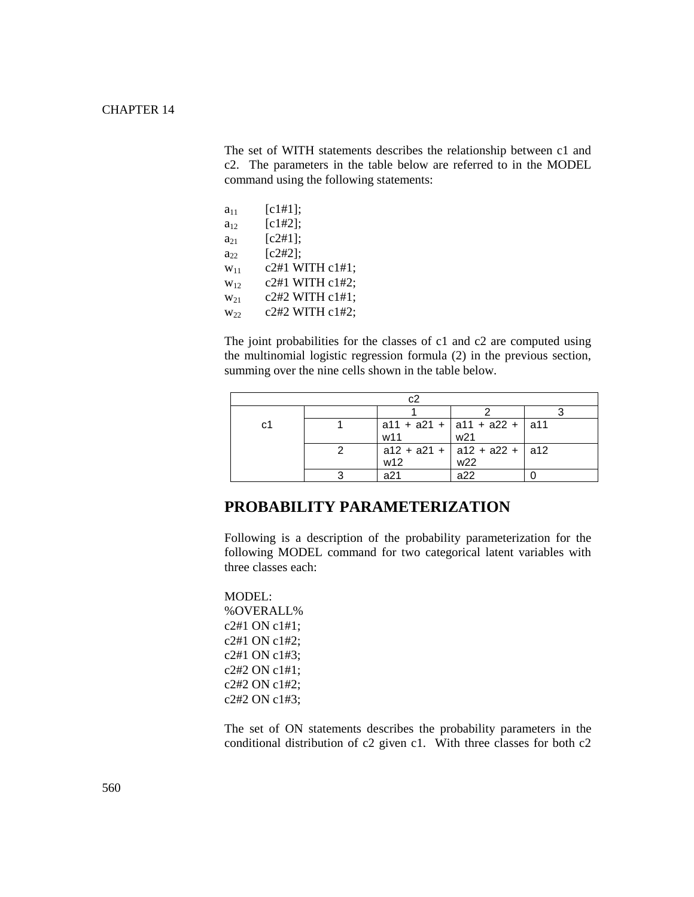The set of WITH statements describes the relationship between c1 and c2. The parameters in the table below are referred to in the MODEL command using the following statements:

| $a_{11}$ | [c1#1];         |
|----------|-----------------|
| $a_{12}$ | [c1#2];         |
| $a_{21}$ | [c2#1];         |
| $a_{22}$ | [c2#2];         |
| $W_{11}$ | c2#1 WITH c1#1; |
| $W_{12}$ | c2#1 WITH c1#2; |
| $W_{21}$ | c2#2 WITH c1#1; |
| $W_{22}$ | c2#2 WITH c1#2; |
|          |                 |

The joint probabilities for the classes of c1 and c2 are computed using the multinomial logistic regression formula (2) in the previous section, summing over the nine cells shown in the table below.

| с2 |  |     |                                         |  |  |
|----|--|-----|-----------------------------------------|--|--|
|    |  |     |                                         |  |  |
| C1 |  |     | $ $ a11 + a21 + $ $ a11 + a22 + $ $ a11 |  |  |
|    |  | w11 | w <sub>21</sub>                         |  |  |
|    |  |     | $a12 + a21 + a12 + a22 + a12$           |  |  |
|    |  | w12 | w22                                     |  |  |
|    |  | a21 | ഹ                                       |  |  |

### **PROBABILITY PARAMETERIZATION**

Following is a description of the probability parameterization for the following MODEL command for two categorical latent variables with three classes each:

MODEL: %OVERALL% c2#1 ON c1#1; c2#1 ON c1#2; c2#1 ON c1#3; c2#2 ON c1#1; c2#2 ON c1#2; c2#2 ON c1#3;

The set of ON statements describes the probability parameters in the conditional distribution of c2 given c1. With three classes for both c2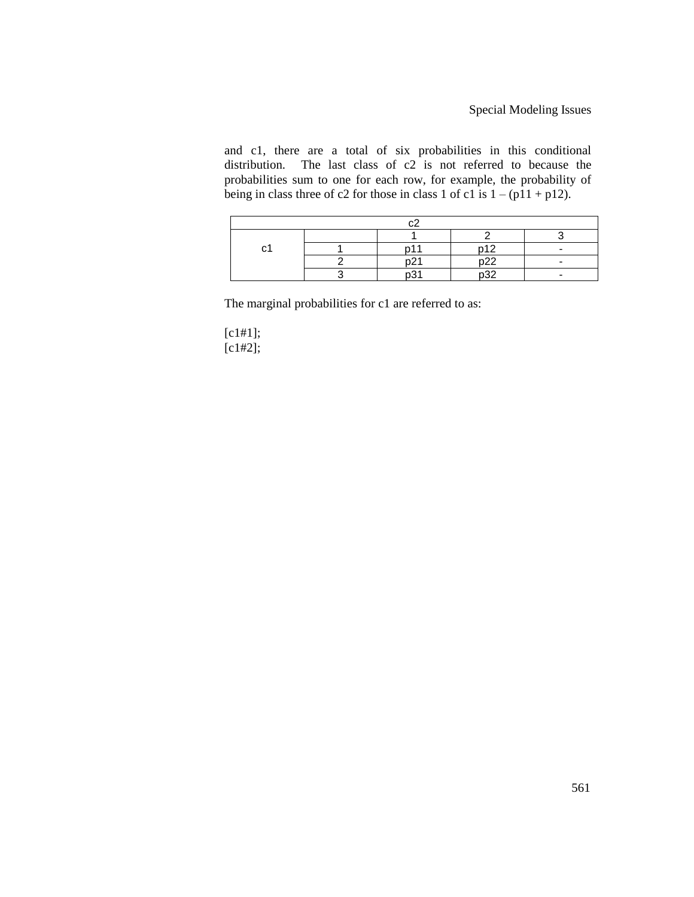and c1, there are a total of six probabilities in this conditional distribution. The last class of  $c2$  is not referred to because the probabilities sum to one for each row, for example, the probability of being in class three of c2 for those in class 1 of c1 is  $1 - (p11 + p12)$ .

| `<br>ັ |  |  | <b>010</b>   |  |  |
|--------|--|--|--------------|--|--|
|        |  |  | $\sim$<br>ے۔ |  |  |
|        |  |  | ს<br>20      |  |  |

The marginal probabilities for c1 are referred to as:

[c1#1]; [c1#2];